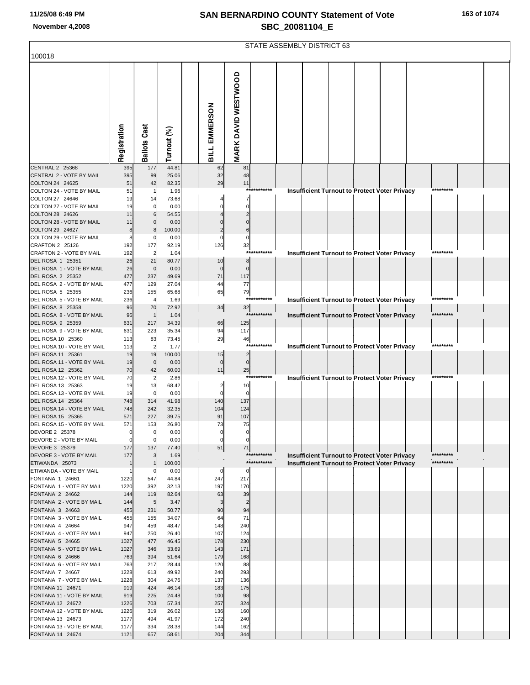# **SAN BERNARDINO COUNTY Statement of Vote**

|  |  |  |  | 163 of 1074 |
|--|--|--|--|-------------|
|--|--|--|--|-------------|

| 11/23/08 6:49 PM<br>November 4,2008                |              |                       |                |                                |                      | SAN BERNARDINO COUNTY Statement of Vote<br>103 OF 1074<br>SBC_20081104_E                                     |
|----------------------------------------------------|--------------|-----------------------|----------------|--------------------------------|----------------------|--------------------------------------------------------------------------------------------------------------|
| 100018                                             |              |                       |                |                                |                      | STATE ASSEMBLY DISTRICT 63                                                                                   |
|                                                    |              |                       |                |                                |                      |                                                                                                              |
|                                                    | Registration | <b>Ballots Cast</b>   | Turnout (%)    | <b>EMMERSON</b><br><b>BILL</b> | MARK DAVID WESTWOOD  |                                                                                                              |
| <b>CENTRAL 2 25368</b><br>CENTRAL 2 - VOTE BY MAIL | 395<br>395   | 177<br>99             | 44.81<br>25.06 | 62<br>32                       | 81<br>48             |                                                                                                              |
| COLTON 24 24625                                    | 51           | 42                    | 82.35          | 29                             | 11                   |                                                                                                              |
| COLTON 24 - VOTE BY MAIL                           | 51           | $\mathbf{1}$          | 1.96           |                                |                      | ***********<br>*********<br>Insufficient Turnout to Protect Voter Privacy                                    |
| COLTON 27 24646                                    | 19           | 14                    | 73.68          |                                | 7                    |                                                                                                              |
| COLTON 27 - VOTE BY MAIL<br>COLTON 28 24626        | 19<br>11     | $\mathbf 0$<br>6      | 0.00<br>54.55  |                                | $\Omega$             |                                                                                                              |
| COLTON 28 - VOTE BY MAIL                           | 11           | $\mathbf 0$           | 0.00           |                                |                      |                                                                                                              |
| COLTON 29 24627                                    | ε            |                       | 100.00         |                                |                      |                                                                                                              |
| COLTON 29 - VOTE BY MAIL                           | ε            | $\Omega$              | 0.00           | $\Omega$                       | $\mathbf 0$          |                                                                                                              |
| CRAFTON 2 25126<br>CRAFTON 2 - VOTE BY MAIL        | 192<br>192   | 177<br>$\overline{2}$ | 92.19<br>1.04  | 126                            | 32                   | ***********<br>*********                                                                                     |
| DEL ROSA 1 25351                                   | 26           | 21                    | 80.77          | 10                             | 8                    | <b>Insufficient Turnout to Protect Voter Privacy</b>                                                         |
| DEL ROSA 1 - VOTE BY MAIL                          | 26           | $\mathbf 0$           | 0.00           | $\mathbf 0$                    | $\mathbf{0}$         |                                                                                                              |
| DEL ROSA 2 25352                                   | 477          | 237                   | 49.69          | 71                             | 117                  |                                                                                                              |
| DEL ROSA 2 - VOTE BY MAIL                          | 477          | 129                   | 27.04          | 44                             | 77                   |                                                                                                              |
| DEL ROSA 5 25355<br>DEL ROSA 5 - VOTE BY MAIL      | 236<br>236   | 155<br>$\overline{4}$ | 65.68<br>1.69  | 65                             | 79                   | ***********<br>*********<br>Insufficient Turnout to Protect Voter Privacy                                    |
| DEL ROSA 8 25358                                   | 96           | 70                    | 72.92          | 34                             | 32                   |                                                                                                              |
| DEL ROSA 8 - VOTE BY MAIL                          | 96           | $\mathbf{1}$          | 1.04           |                                |                      | ***********<br>********<br>Insufficient Turnout to Protect Voter Privacy                                     |
| DEL ROSA 9 25359                                   | 631          | 217                   | 34.39          | 66                             | 125                  |                                                                                                              |
| DEL ROSA 9 - VOTE BY MAIL                          | 631          | 223                   | 35.34          | 94                             | 117                  |                                                                                                              |
| DEL ROSA 10 25360<br>DEL ROSA 10 - VOTE BY MAIL    | 113<br>113   | 83<br>$\overline{2}$  | 73.45<br>1.77  | 29                             | 46                   | ***********<br>*********<br><b>Insufficient Turnout to Protect Voter Privacy</b>                             |
| DEL ROSA 11 25361                                  | 19           | 19                    | 100.00         | 15                             | $\overline{2}$       |                                                                                                              |
| DEL ROSA 11 - VOTE BY MAIL                         | 19           | $\mathbf 0$           | 0.00           | $\mathbf 0$                    | $\mathbf 0$          |                                                                                                              |
| DEL ROSA 12 25362<br>DEL ROSA 12 - VOTE BY MAIL    | 70           | 42                    | 60.00          | 11                             | 25                   | ***********<br>*********                                                                                     |
| DEL ROSA 13 25363                                  | 70<br>19     | $\overline{2}$<br>13  | 2.86<br>68.42  | $\overline{2}$                 | 10                   | Insufficient Turnout to Protect Voter Privacy                                                                |
| DEL ROSA 13 - VOTE BY MAIL                         | 19           | 0                     | 0.00           | $\mathbf 0$                    | 0                    |                                                                                                              |
| DEL ROSA 14 25364                                  | 748          | 314                   | 41.98          | 140                            | 137                  |                                                                                                              |
| DEL ROSA 14 - VOTE BY MAIL                         | 748          | 242                   | 32.35          | 104                            | 124                  |                                                                                                              |
| DEL ROSA 15 25365<br>DEL ROSA 15 - VOTE BY MAIL    | 571<br>571   | 227<br>153            | 39.75<br>26.80 | 91<br>73                       | 107<br>75            |                                                                                                              |
| DEVORE 2 25378                                     |              | $\Omega$              | 0.00           |                                | $\Omega$             |                                                                                                              |
| DEVORE 2 - VOTE BY MAIL                            |              | $\Omega$              | 0.00           | 0                              | $\mathbf 0$          |                                                                                                              |
| DEVORE 3 25379                                     | 177          | 137                   | 77.40          | 51                             | 71                   |                                                                                                              |
| DEVORE 3 - VOTE BY MAIL<br>ETIWANDA 25073          | 177          | 3                     | 1.69<br>100.00 |                                |                      | ***********<br>*********<br><b>Insufficient Turnout to Protect Voter Privacy</b><br>***********<br>********* |
| ETIWANDA - VOTE BY MAIL                            |              |                       | 0.00           | 0                              | $\mathbf 0$          | <b>Insufficient Turnout to Protect Voter Privacy</b>                                                         |
| FONTANA 1 24661                                    | 1220         | 547                   | 44.84          | 247                            | 217                  |                                                                                                              |
| FONTANA 1 - VOTE BY MAIL                           | 1220         | 392                   | 32.13          | 197                            | 170                  |                                                                                                              |
| FONTANA 2 24662                                    | 144          | 119                   | 82.64          | 63                             | 39                   |                                                                                                              |
| FONTANA 2 - VOTE BY MAIL<br>FONTANA 3 24663        | 144<br>455   | 5<br>231              | 3.47<br>50.77  | 3<br>90                        | $\overline{2}$<br>94 |                                                                                                              |
| FONTANA 3 - VOTE BY MAIL                           | 455          | 155                   | 34.07          | 64                             | 71                   |                                                                                                              |
| FONTANA 4 24664                                    | 947          | 459                   | 48.47          | 148                            | 240                  |                                                                                                              |
| FONTANA 4 - VOTE BY MAIL                           | 947          | 250                   | 26.40          | 107                            | 124                  |                                                                                                              |
| FONTANA 5 24665<br>FONTANA 5 - VOTE BY MAIL        | 1027<br>1027 | 477<br>346            | 46.45<br>33.69 | 178<br>143                     | 230<br>171           |                                                                                                              |
| FONTANA 6 24666                                    | 763          | 394                   | 51.64          | 179                            | 168                  |                                                                                                              |
| FONTANA 6 - VOTE BY MAIL                           | 763          | 217                   | 28.44          | 120                            | 88                   |                                                                                                              |
| FONTANA 7 24667                                    | 1228         | 613                   | 49.92          | 240                            | 293                  |                                                                                                              |
| FONTANA 7 - VOTE BY MAIL                           | 1228         | 304                   | 24.76          | 137                            | 136                  |                                                                                                              |
| FONTANA 11 24671<br>FONTANA 11 - VOTE BY MAIL      | 919<br>919   | 424<br>225            | 46.14<br>24.48 | 183<br>100                     | 175<br>98            |                                                                                                              |
| FONTANA 12 24672                                   | 1226         | 703                   | 57.34          | 257                            | 324                  |                                                                                                              |
| FONTANA 12 - VOTE BY MAIL                          | 1226         | 319                   | 26.02          | 136                            | 160                  |                                                                                                              |
| FONTANA 13 24673                                   | 1177         | 494                   | 41.97          | 172                            | 240                  |                                                                                                              |
| FONTANA 13 - VOTE BY MAIL                          | 1177         | 334                   | 28.38          | 144                            | 162                  |                                                                                                              |
| FONTANA 14 24674                                   | 1121         | 657                   | 58.61          | 204                            | 344                  |                                                                                                              |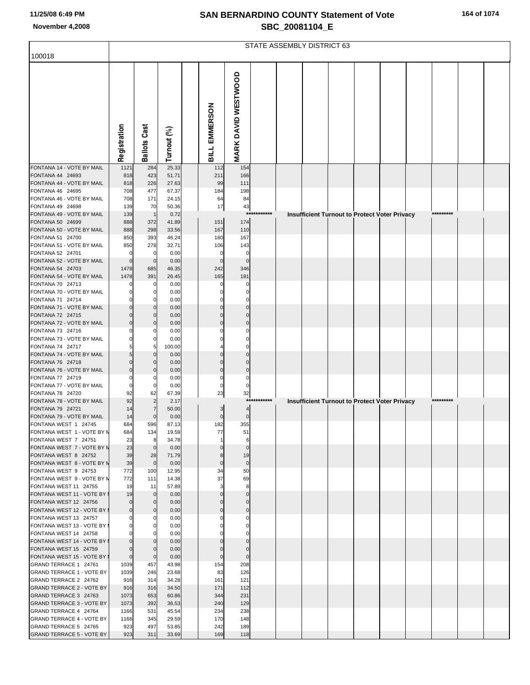|  |  |  |  | 164 of 1074 |
|--|--|--|--|-------------|
|--|--|--|--|-------------|

|                                                           |                            |                     |                |                      |                         |             | STATE ASSEMBLY DISTRICT 63 |  |                                               |           |  |
|-----------------------------------------------------------|----------------------------|---------------------|----------------|----------------------|-------------------------|-------------|----------------------------|--|-----------------------------------------------|-----------|--|
| 100018                                                    |                            |                     |                |                      |                         |             |                            |  |                                               |           |  |
|                                                           | Registration               | <b>Ballots Cast</b> | Turnout (%)    | BILL EMMERSON        | MARK DAVID WESTWOOD     |             |                            |  |                                               |           |  |
| FONTANA 14 - VOTE BY MAIL                                 | 1121                       | 284                 | 25.33          | 112                  | 154                     |             |                            |  |                                               |           |  |
| FONTANA 44 24693                                          | 818<br>818                 | 423                 | 51.71          | 211<br>99            | 166<br>111              |             |                            |  |                                               |           |  |
| FONTANA 44 - VOTE BY MAIL<br>FONTANA 46 24695             | 708                        | 226<br>477          | 27.63<br>67.37 | 184                  | 198                     |             |                            |  |                                               |           |  |
| FONTANA 46 - VOTE BY MAIL                                 | 708                        | 171                 | 24.15          | 64                   | 84                      |             |                            |  |                                               |           |  |
| FONTANA 49 24698                                          | 139                        | 70                  | 50.36          | 17                   | 43                      |             |                            |  |                                               |           |  |
| FONTANA 49 - VOTE BY MAIL                                 | 139                        |                     | 0.72           |                      | $***$<br>174            | *******     |                            |  | Insufficient Turnout to Protect Voter Privacy | ********* |  |
| FONTANA 50 24699<br>FONTANA 50 - VOTE BY MAIL             | 888<br>888                 | 372<br>298          | 41.89<br>33.56 | 151<br>167           | 110                     |             |                            |  |                                               |           |  |
| FONTANA 51 24700                                          | 850                        | 393                 | 46.24          | 160                  | 167                     |             |                            |  |                                               |           |  |
| FONTANA 51 - VOTE BY MAIL                                 | 850                        | 278                 | 32.71          | 106                  | 143                     |             |                            |  |                                               |           |  |
| FONTANA 52 24701                                          | $\Omega$                   | $\Omega$            | 0.00           | $\mathbf 0$          | 0                       |             |                            |  |                                               |           |  |
| FONTANA 52 - VOTE BY MAIL<br>FONTANA 54 24703             | $\Omega$<br>1478           | $\mathbf 0$<br>685  | 0.00<br>46.35  | $\mathbf{0}$<br>242  | $\Omega$<br>346         |             |                            |  |                                               |           |  |
| FONTANA 54 - VOTE BY MAIL                                 | 1478                       | 391                 | 26.45          | 165                  | 181                     |             |                            |  |                                               |           |  |
| FONTANA 70 24713                                          |                            |                     | 0.00           | O                    |                         |             |                            |  |                                               |           |  |
| FONTANA 70 - VOTE BY MAIL                                 |                            |                     | 0.00           |                      |                         |             |                            |  |                                               |           |  |
| FONTANA 71 24714                                          |                            |                     | 0.00           |                      |                         |             |                            |  |                                               |           |  |
| FONTANA 71 - VOTE BY MAIL<br>FONTANA 72 24715             |                            |                     | 0.00<br>0.00   |                      | $\Omega$                |             |                            |  |                                               |           |  |
| FONTANA 72 - VOTE BY MAIL                                 |                            |                     | 0.00           |                      |                         |             |                            |  |                                               |           |  |
| FONTANA 73 24716                                          |                            |                     | 0.00           |                      |                         |             |                            |  |                                               |           |  |
| FONTANA 73 - VOTE BY MAIL                                 |                            |                     | 0.00           |                      |                         |             |                            |  |                                               |           |  |
| FONTANA 74 24717<br>FONTANA 74 - VOTE BY MAIL             |                            |                     | 100.00<br>0.00 |                      |                         |             |                            |  |                                               |           |  |
| FONTANA 76 24718                                          |                            |                     | 0.00           |                      |                         |             |                            |  |                                               |           |  |
| FONTANA 76 - VOTE BY MAIL                                 |                            |                     | 0.00           |                      | $\Omega$                |             |                            |  |                                               |           |  |
| FONTANA 77 24719                                          |                            |                     | 0.00           | $\Omega$             | 0                       |             |                            |  |                                               |           |  |
| FONTANA 77 - VOTE BY MAIL<br>FONTANA 78 24720             | C<br>92                    | 62                  | 0.00<br>67.39  | 0<br>23              | 0<br>32                 |             |                            |  |                                               |           |  |
| FONTANA 78 - VOTE BY MAIL                                 | 92                         | $\mathfrak{p}$      | 2.17           |                      |                         | *********** |                            |  | Insufficient Turnout to Protect Voter Privacy | ********* |  |
| FONTANA 79 24721                                          | 14                         |                     | 50.00          | 3                    | $\overline{4}$          |             |                            |  |                                               |           |  |
| FONTANA 79 - VOTE BY MAIL                                 | 14                         | $\mathbf 0$         | 0.00           | $\pmb{0}$            | $\bf{0}$                |             |                            |  |                                               |           |  |
| FONTANA WEST 1 24745<br>FONTANA WEST 1 - VOTE BY N        | 684<br>684                 | 596<br>134          | 87.13<br>19.59 | 182<br>77            | 355<br>51               |             |                            |  |                                               |           |  |
| FONTANA WEST 7 24751                                      | 23                         | 8                   | 34.78          |                      | 6                       |             |                            |  |                                               |           |  |
| FONTANA WEST 7 - VOTE BY N                                | 23                         | $\mathbf 0$         | 0.00           |                      | $\mathbf 0$             |             |                            |  |                                               |           |  |
| FONTANA WEST 8 24752                                      | 39                         | 28                  | 71.79          | 8                    | 19                      |             |                            |  |                                               |           |  |
| FONTANA WEST 8 - VOTE BY N<br>FONTANA WEST 9 24753        | 39<br>772                  | $\mathbf 0$<br>100  | 0.00<br>12.95  | $\pmb{0}$<br>34      | $\pmb{0}$<br>50         |             |                            |  |                                               |           |  |
| FONTANA WEST 9 - VOTE BY N                                | 772                        | 111                 | 14.38          | 37                   | 69                      |             |                            |  |                                               |           |  |
| FONTANA WEST 11 24755                                     | 19                         | 11                  | 57.89          | 3                    | 8                       |             |                            |  |                                               |           |  |
| FONTANA WEST 11 - VOTE BY I                               | 19                         | $\mathbf 0$         | 0.00           |                      | $\Omega$                |             |                            |  |                                               |           |  |
| FONTANA WEST 12 24756<br>FONTANA WEST 12 - VOTE BY I      | $\mathbf 0$<br>$\mathbf 0$ | $\Omega$<br>0       | 0.00<br>0.00   | $\Omega$<br>$\Omega$ | $\Omega$<br>$\mathbf 0$ |             |                            |  |                                               |           |  |
| FONTANA WEST 13 24757                                     | C                          |                     | 0.00           |                      | 0                       |             |                            |  |                                               |           |  |
| FONTANA WEST 13 - VOTE BY I                               | $\Omega$                   |                     | 0.00           |                      |                         |             |                            |  |                                               |           |  |
| FONTANA WEST 14 24758                                     |                            | $\Omega$            | 0.00           |                      |                         |             |                            |  |                                               |           |  |
| FONTANA WEST 14 - VOTE BY I<br>FONTANA WEST 15 24759      | $\Omega$                   | $\Omega$            | 0.00<br>0.00   | $\Omega$             | $\mathbf 0$             |             |                            |  |                                               |           |  |
| FONTANA WEST 15 - VOTE BY I                               | $\mathbf 0$                | $\Omega$            | 0.00           | $\mathbf 0$          | $\mathbf 0$             |             |                            |  |                                               |           |  |
| GRAND TERRACE 1 24761                                     | 1039                       | 457                 | 43.98          | 154                  | 208                     |             |                            |  |                                               |           |  |
| <b>GRAND TERRACE 1 - VOTE BY</b>                          | 1039                       | 246                 | 23.68          | 83                   | 126                     |             |                            |  |                                               |           |  |
| GRAND TERRACE 2 24762                                     | 916                        | 314                 | 34.28          | 161                  | 121                     |             |                            |  |                                               |           |  |
| <b>GRAND TERRACE 2 - VOTE BY</b><br>GRAND TERRACE 3 24763 | 916<br>1073                | 316<br>653          | 34.50<br>60.86 | 171<br>344           | 112<br>231              |             |                            |  |                                               |           |  |
| <b>GRAND TERRACE 3 - VOTE BY</b>                          | 1073                       | 392                 | 36.53          | 240                  | 129                     |             |                            |  |                                               |           |  |
| GRAND TERRACE 4 24764                                     | 1166                       | 531                 | 45.54          | 234                  | 238                     |             |                            |  |                                               |           |  |
| <b>GRAND TERRACE 4 - VOTE BY</b>                          | 1166                       | 345                 | 29.59          | 170                  | 148                     |             |                            |  |                                               |           |  |
| GRAND TERRACE 5 24765<br><b>GRAND TERRACE 5 - VOTE BY</b> | 923<br>923                 | 497<br>311          | 53.85<br>33.69 | 242<br>169           | 189<br>118              |             |                            |  |                                               |           |  |
|                                                           |                            |                     |                |                      |                         |             |                            |  |                                               |           |  |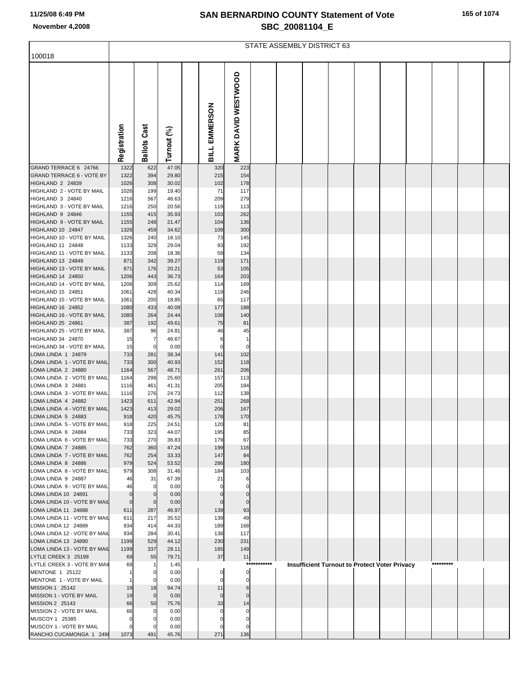|                                                      |              | STATE ASSEMBLY DISTRICT 63 |                |  |                   |                     |             |  |  |  |                                                      |  |           |  |  |
|------------------------------------------------------|--------------|----------------------------|----------------|--|-------------------|---------------------|-------------|--|--|--|------------------------------------------------------|--|-----------|--|--|
| 100018                                               |              |                            |                |  |                   |                     |             |  |  |  |                                                      |  |           |  |  |
|                                                      |              |                            |                |  |                   |                     |             |  |  |  |                                                      |  |           |  |  |
|                                                      |              |                            |                |  |                   |                     |             |  |  |  |                                                      |  |           |  |  |
|                                                      |              |                            |                |  |                   | MARK DAVID WESTWOOD |             |  |  |  |                                                      |  |           |  |  |
|                                                      |              |                            |                |  |                   |                     |             |  |  |  |                                                      |  |           |  |  |
|                                                      |              |                            |                |  |                   |                     |             |  |  |  |                                                      |  |           |  |  |
|                                                      |              |                            |                |  |                   |                     |             |  |  |  |                                                      |  |           |  |  |
|                                                      |              |                            |                |  |                   |                     |             |  |  |  |                                                      |  |           |  |  |
|                                                      |              |                            |                |  |                   |                     |             |  |  |  |                                                      |  |           |  |  |
|                                                      |              |                            |                |  |                   |                     |             |  |  |  |                                                      |  |           |  |  |
|                                                      | Registration | <b>Ballots Cast</b>        | Turnout (%)    |  | BILL EMMERSON     |                     |             |  |  |  |                                                      |  |           |  |  |
|                                                      |              |                            |                |  |                   |                     |             |  |  |  |                                                      |  |           |  |  |
| GRAND TERRACE 6 24766                                | 1322         | 622                        | 47.05          |  | 320               | 223                 |             |  |  |  |                                                      |  |           |  |  |
| <b>GRAND TERRACE 6 - VOTE BY</b><br>HIGHLAND 2 24839 | 1322<br>1026 | 394<br>308                 | 29.80<br>30.02 |  | 215<br>102        | 154<br>178          |             |  |  |  |                                                      |  |           |  |  |
| HIGHLAND 2 - VOTE BY MAIL                            | 1026         | 199                        | 19.40          |  | 71                | 117                 |             |  |  |  |                                                      |  |           |  |  |
| HIGHLAND 3 24840                                     | 1216         | 567                        | 46.63          |  | 209               | 279                 |             |  |  |  |                                                      |  |           |  |  |
| HIGHLAND 3 - VOTE BY MAIL                            | 1216         | 250                        | 20.56          |  | 119               | 113                 |             |  |  |  |                                                      |  |           |  |  |
| HIGHLAND 9 24846<br>HIGHLAND 9 - VOTE BY MAIL        | 1155         | 415                        | 35.93          |  | 103               | 262                 |             |  |  |  |                                                      |  |           |  |  |
| HIGHLAND 10 24847                                    | 1155<br>1326 | 248<br>459                 | 21.47<br>34.62 |  | 104<br>109        | 136<br>300          |             |  |  |  |                                                      |  |           |  |  |
| HIGHLAND 10 - VOTE BY MAIL                           | 1326         | 240                        | 18.10          |  | 73                | 145                 |             |  |  |  |                                                      |  |           |  |  |
| HIGHLAND 11 24848                                    | 1133         | 329                        | 29.04          |  | 93                | 192                 |             |  |  |  |                                                      |  |           |  |  |
| HIGHLAND 11 - VOTE BY MAIL                           | 1133         | 208                        | 18.36          |  | 59                | 134                 |             |  |  |  |                                                      |  |           |  |  |
| HIGHLAND 13 24849<br>HIGHLAND 13 - VOTE BY MAIL      | 871<br>871   | 342<br>176                 | 39.27<br>20.21 |  | 119<br>53         | 171<br>105          |             |  |  |  |                                                      |  |           |  |  |
| HIGHLAND 14 24850                                    | 1206         | 443                        | 36.73          |  | 164               | 203                 |             |  |  |  |                                                      |  |           |  |  |
| HIGHLAND 14 - VOTE BY MAIL                           | 1206         | 309                        | 25.62          |  | 114               | 169                 |             |  |  |  |                                                      |  |           |  |  |
| HIGHLAND 15 24851                                    | 1061         | 428                        | 40.34          |  | 119               | 246                 |             |  |  |  |                                                      |  |           |  |  |
| HIGHLAND 15 - VOTE BY MAIL                           | 1061         | 200                        | 18.85          |  | 65                | 117                 |             |  |  |  |                                                      |  |           |  |  |
| HIGHLAND 16 24852<br>HIGHLAND 16 - VOTE BY MAIL      | 1080<br>1080 | 433<br>264                 | 40.09<br>24.44 |  | 177<br>108        | 188<br>140          |             |  |  |  |                                                      |  |           |  |  |
| HIGHLAND 25 24861                                    | 387          | 192                        | 49.61          |  | 75                | 81                  |             |  |  |  |                                                      |  |           |  |  |
| HIGHLAND 25 - VOTE BY MAIL                           | 387          | 96                         | 24.81          |  | 46                | 45                  |             |  |  |  |                                                      |  |           |  |  |
| HIGHLAND 34 24870                                    | 15           | 7                          | 46.67          |  | 6                 | -1                  |             |  |  |  |                                                      |  |           |  |  |
| HIGHLAND 34 - VOTE BY MAIL<br>LOMA LINDA 1 24879     | 15           | 0                          | 0.00           |  | $\mathsf{C}$      | C                   |             |  |  |  |                                                      |  |           |  |  |
| LOMA LINDA 1 - VOTE BY MAIL                          | 733<br>733   | 281<br>300                 | 38.34<br>40.93 |  | 141<br>152        | 102<br>118          |             |  |  |  |                                                      |  |           |  |  |
| LOMA LINDA 2 24880                                   | 1164         | 567                        | 48.71          |  | 261               | 206                 |             |  |  |  |                                                      |  |           |  |  |
| LOMA LINDA 2 - VOTE BY MAIL                          | 1164         | 298                        | 25.60          |  | 157               | 113                 |             |  |  |  |                                                      |  |           |  |  |
| LOMA LINDA 3 24881                                   | 1116         | 461                        | 41.31          |  | 205               | 184                 |             |  |  |  |                                                      |  |           |  |  |
| LOMA LINDA 3 - VOTE BY MAIL<br>LOMA LINDA 4 24882    | 1116<br>1423 | 276<br>611                 | 24.73<br>42.94 |  | 112<br>251        | 138<br>268          |             |  |  |  |                                                      |  |           |  |  |
| LOMA LINDA 4 - VOTE BY MAIL                          | 1423         | 413                        | 29.02          |  | 206               | 167                 |             |  |  |  |                                                      |  |           |  |  |
| LOMA LINDA 5 24883                                   | 918          | 420                        | 45.75          |  | 178               | 170                 |             |  |  |  |                                                      |  |           |  |  |
| LOMA LINDA 5 - VOTE BY MAIL                          | 918          | 225                        | 24.51          |  | 120               | 81                  |             |  |  |  |                                                      |  |           |  |  |
| LOMA LINDA 6 24884<br>LOMA LINDA 6 - VOTE BY MAIL    | 733<br>733   | 323<br>270                 | 44.07<br>36.83 |  | 195<br>179        | 85<br>67            |             |  |  |  |                                                      |  |           |  |  |
| LOMA LINDA 7 24885                                   | 762          | 360                        | 47.24          |  | 199               | 116                 |             |  |  |  |                                                      |  |           |  |  |
| LOMA LINDA 7 - VOTE BY MAIL                          | 762          | 254                        | 33.33          |  | 147               | 84                  |             |  |  |  |                                                      |  |           |  |  |
| LOMA LINDA 8 24886                                   | 979          | 524                        | 53.52          |  | 286               | 180                 |             |  |  |  |                                                      |  |           |  |  |
| LOMA LINDA 8 - VOTE BY MAIL<br>LOMA LINDA 9 24887    | 979<br>46    | 308<br>31                  | 31.46<br>67.39 |  | 184<br>21         | 103<br>6            |             |  |  |  |                                                      |  |           |  |  |
| LOMA LINDA 9 - VOTE BY MAIL                          | 46           | 0                          | 0.00           |  |                   |                     |             |  |  |  |                                                      |  |           |  |  |
| LOMA LINDA 10 24891                                  | $\mathbf 0$  | $\Omega$                   | 0.00           |  |                   |                     |             |  |  |  |                                                      |  |           |  |  |
| LOMA LINDA 10 - VOTE BY MAIL                         | $\mathbf 0$  | $\mathbf 0$                | 0.00           |  |                   | $\Omega$            |             |  |  |  |                                                      |  |           |  |  |
| LOMA LINDA 11 24888                                  | 611          | 287                        | 46.97          |  | 139               | 93                  |             |  |  |  |                                                      |  |           |  |  |
| LOMA LINDA 11 - VOTE BY MAIL<br>LOMA LINDA 12 24889  | 611<br>934   | 217<br>414                 | 35.52<br>44.33 |  | 139<br>189        | 49<br>168           |             |  |  |  |                                                      |  |           |  |  |
| LOMA LINDA 12 - VOTE BY MAIL                         | 934          | 284                        | 30.41          |  | 138               | 117                 |             |  |  |  |                                                      |  |           |  |  |
| LOMA LINDA 13 24890                                  | 1199         | 529                        | 44.12          |  | 230               | 231                 |             |  |  |  |                                                      |  |           |  |  |
| LOMA LINDA 13 - VOTE BY MAIL                         | 1199         | 337                        | 28.11          |  | 165               | 149                 |             |  |  |  |                                                      |  |           |  |  |
| LYTLE CREEK 3 25199<br>LYTLE CREEK 3 - VOTE BY MAIL  | 69<br>69     | 55<br>1                    | 79.71<br>1.45  |  | 37                | 11                  | *********** |  |  |  | <b>Insufficient Turnout to Protect Voter Privacy</b> |  | ********* |  |  |
| MENTONE 1 25122                                      |              | 0                          | 0.00           |  | $\Omega$          | 0                   |             |  |  |  |                                                      |  |           |  |  |
| MENTONE 1 - VOTE BY MAIL                             |              | 0                          | 0.00           |  | $\Omega$          | $\Omega$            |             |  |  |  |                                                      |  |           |  |  |
| MISSION 1 25142                                      | 19           | 18                         | 94.74          |  | 11                | 6                   |             |  |  |  |                                                      |  |           |  |  |
| MISSION 1 - VOTE BY MAIL                             | 19<br>66     | $\mathbf 0$                | 0.00           |  | $\mathbf 0$<br>33 | $\Omega$            |             |  |  |  |                                                      |  |           |  |  |
| MISSION 2 25143<br>MISSION 2 - VOTE BY MAIL          | 66           | 50<br>0                    | 75.76<br>0.00  |  | C                 | 14<br>$\mathsf{C}$  |             |  |  |  |                                                      |  |           |  |  |
| MUSCOY 1 25385                                       | $\Omega$     |                            | 0.00           |  |                   |                     |             |  |  |  |                                                      |  |           |  |  |
| MUSCOY 1 - VOTE BY MAIL                              |              |                            | 0.00           |  |                   |                     |             |  |  |  |                                                      |  |           |  |  |
| RANCHO CUCAMONGA 1 2498                              | 1073         | 491                        | 45.76          |  | 271               | 136                 |             |  |  |  |                                                      |  |           |  |  |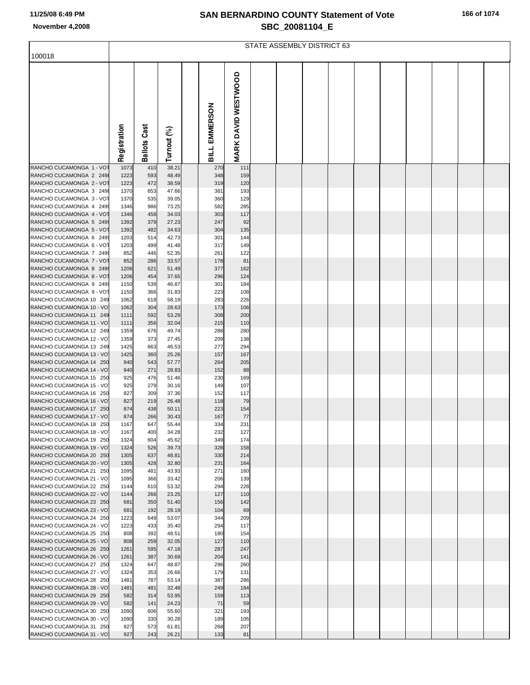|  |  |  |  | 166 of 1074 |
|--|--|--|--|-------------|
|--|--|--|--|-------------|

|                                                     |              | STATE ASSEMBLY DISTRICT 63 |                |  |               |                     |  |  |  |  |  |  |  |  |
|-----------------------------------------------------|--------------|----------------------------|----------------|--|---------------|---------------------|--|--|--|--|--|--|--|--|
| 100018                                              |              |                            |                |  |               |                     |  |  |  |  |  |  |  |  |
|                                                     | Registration | <b>Ballots Cast</b>        | Turnout (%)    |  | BILL EMMERSON | MARK DAVID WESTWOOD |  |  |  |  |  |  |  |  |
| RANCHO CUCAMONGA 1 - VOT                            | 1073         | 410                        | 38.21          |  | 270           | 111                 |  |  |  |  |  |  |  |  |
| RANCHO CUCAMONGA 2 2498                             | 1223         | 593                        | 48.49          |  | 348           | 159                 |  |  |  |  |  |  |  |  |
| RANCHO CUCAMONGA 2 - VOT                            | 1223         | 472                        | 38.59          |  | 319           | 120                 |  |  |  |  |  |  |  |  |
| RANCHO CUCAMONGA 3 249<br>RANCHO CUCAMONGA 3 - VOT  | 1370<br>1370 | 653<br>535                 | 47.66<br>39.05 |  | 381<br>360    | 193<br>129          |  |  |  |  |  |  |  |  |
| RANCHO CUCAMONGA 4 249                              | 1346         | 986                        | 73.25          |  | 582           | 285                 |  |  |  |  |  |  |  |  |
| RANCHO CUCAMONGA 4 - VOT                            | 1346         | 458                        | 34.03          |  | 303           | 117                 |  |  |  |  |  |  |  |  |
| RANCHO CUCAMONGA 5 249                              | 1392         | 379                        | 27.23          |  | 247           | 92                  |  |  |  |  |  |  |  |  |
| RANCHO CUCAMONGA 5 - VOT                            | 1392         | 482                        | 34.63          |  | 304           | 135                 |  |  |  |  |  |  |  |  |
| RANCHO CUCAMONGA 6 2499<br>RANCHO CUCAMONGA 6 - VOT | 1203<br>1203 | 514<br>499                 | 42.73<br>41.48 |  | 301<br>317    | 144<br>149          |  |  |  |  |  |  |  |  |
| RANCHO CUCAMONGA 7 249                              | 852          | 446                        | 52.35          |  | 261           | 122                 |  |  |  |  |  |  |  |  |
| RANCHO CUCAMONGA 7 - VOT                            | 852          | 286                        | 33.57          |  | 178           | 81                  |  |  |  |  |  |  |  |  |
| RANCHO CUCAMONGA 8 249                              | 1206         | 621                        | 51.49          |  | 377           | 162                 |  |  |  |  |  |  |  |  |
| RANCHO CUCAMONGA 8 - VOT                            | 1206         | 454                        | 37.65          |  | 296           | 124                 |  |  |  |  |  |  |  |  |
| RANCHO CUCAMONGA 9 249                              | 1150         | 539                        | 46.87          |  | 301           | 184                 |  |  |  |  |  |  |  |  |
| RANCHO CUCAMONGA 9 - VOT<br>RANCHO CUCAMONGA 10 249 | 1150<br>1062 | 366<br>618                 | 31.83<br>58.19 |  | 223<br>283    | 108<br>226          |  |  |  |  |  |  |  |  |
| RANCHO CUCAMONGA 10 - VO                            | 1062         | 304                        | 28.63          |  | 173           | 106                 |  |  |  |  |  |  |  |  |
| RANCHO CUCAMONGA 11 249                             | 1111         | 592                        | 53.29          |  | 308           | 200                 |  |  |  |  |  |  |  |  |
| RANCHO CUCAMONGA 11 - VO                            | 1111         | 356                        | 32.04          |  | 215           | 110                 |  |  |  |  |  |  |  |  |
| RANCHO CUCAMONGA 12 249                             | 1359         | 676                        | 49.74          |  | 288           | 280                 |  |  |  |  |  |  |  |  |
| RANCHO CUCAMONGA 12 - VO<br>RANCHO CUCAMONGA 13 249 | 1359<br>1425 | 373<br>663                 | 27.45<br>46.53 |  | 209<br>277    | 138<br>294          |  |  |  |  |  |  |  |  |
| RANCHO CUCAMONGA 13 - VO                            | 1425         | 360                        | 25.26          |  | 157           | 167                 |  |  |  |  |  |  |  |  |
| RANCHO CUCAMONGA 14 250                             | 940          | 543                        | 57.77          |  | 264           | 205                 |  |  |  |  |  |  |  |  |
| RANCHO CUCAMONGA 14 - VO                            | 940          | 271                        | 28.83          |  | 152           | 88                  |  |  |  |  |  |  |  |  |
| RANCHO CUCAMONGA 15 250<br>RANCHO CUCAMONGA 15 - VO | 925<br>925   | 476<br>279                 | 51.46<br>30.16 |  | 230<br>149    | 169<br>107          |  |  |  |  |  |  |  |  |
| RANCHO CUCAMONGA 16 250                             | 827          | 309                        | 37.36          |  | 152           | 117                 |  |  |  |  |  |  |  |  |
| RANCHO CUCAMONGA 16 - VO                            | 827          | 219                        | 26.48          |  | 118           | 79                  |  |  |  |  |  |  |  |  |
| RANCHO CUCAMONGA 17 250                             | 874          | 438                        | 50.11          |  | 223           | 154                 |  |  |  |  |  |  |  |  |
| RANCHO CUCAMONGA 17 - VO                            | 874          | 266                        | 30.43          |  | 167           | 77                  |  |  |  |  |  |  |  |  |
| RANCHO CUCAMONGA 18 250<br>RANCHO CUCAMONGA 18 - VO | 1167<br>1167 | 647<br>400                 | 55.44<br>34.28 |  | 334<br>232    | 231<br>127          |  |  |  |  |  |  |  |  |
| RANCHO CUCAMONGA 19 250                             | 1324         | 604                        | 45.62          |  | 349           | 174                 |  |  |  |  |  |  |  |  |
| RANCHO CUCAMONGA 19 - VO                            | 1324         | 526                        | 39.73          |  | 328           | 158                 |  |  |  |  |  |  |  |  |
| RANCHO CUCAMONGA 20 250                             | 1305         | 637                        | 48.81          |  | 330           | 214                 |  |  |  |  |  |  |  |  |
| RANCHO CUCAMONGA 20 - VO                            | 1305         | 428                        | 32.80          |  | 231           | 164                 |  |  |  |  |  |  |  |  |
| RANCHO CUCAMONGA 21 250<br>RANCHO CUCAMONGA 21 - VO | 1095<br>1095 | 481<br>366                 | 43.93<br>33.42 |  | 271<br>206    | 160<br>139          |  |  |  |  |  |  |  |  |
| RANCHO CUCAMONGA 22 250                             | 1144         | 610                        | 53.32          |  | 294           | 228                 |  |  |  |  |  |  |  |  |
| RANCHO CUCAMONGA 22 - VO                            | 1144         | 266                        | 23.25          |  | 127           | 110                 |  |  |  |  |  |  |  |  |
| RANCHO CUCAMONGA 23 250                             | 681          | 350                        | 51.40          |  | 156           | 142                 |  |  |  |  |  |  |  |  |
| RANCHO CUCAMONGA 23 - VO                            | 681          | 192                        | 28.19          |  | 104           | 69                  |  |  |  |  |  |  |  |  |
| RANCHO CUCAMONGA 24 250<br>RANCHO CUCAMONGA 24 - VO | 1223<br>1223 | 649<br>433                 | 53.07<br>35.40 |  | 344<br>294    | 209<br>117          |  |  |  |  |  |  |  |  |
| RANCHO CUCAMONGA 25 250                             | 808          | 392                        | 48.51          |  | 180           | 154                 |  |  |  |  |  |  |  |  |
| RANCHO CUCAMONGA 25 - VO                            | 808          | 259                        | 32.05          |  | 127           | 110                 |  |  |  |  |  |  |  |  |
| RANCHO CUCAMONGA 26 250                             | 1261         | 595                        | 47.18          |  | 287           | 247                 |  |  |  |  |  |  |  |  |
| RANCHO CUCAMONGA 26 - VO<br>RANCHO CUCAMONGA 27 250 | 1261<br>1324 | 387<br>647                 | 30.69          |  | 204           | 141                 |  |  |  |  |  |  |  |  |
| RANCHO CUCAMONGA 27 - VO                            | 1324         | 353                        | 48.87<br>26.66 |  | 296<br>179    | 260<br>131          |  |  |  |  |  |  |  |  |
| RANCHO CUCAMONGA 28 250                             | 1481         | 787                        | 53.14          |  | 387           | 286                 |  |  |  |  |  |  |  |  |
| RANCHO CUCAMONGA 28 - VO                            | 1481         | 481                        | 32.48          |  | 249           | 184                 |  |  |  |  |  |  |  |  |
| RANCHO CUCAMONGA 29 250                             | 582          | 314                        | 53.95          |  | 159           | 113                 |  |  |  |  |  |  |  |  |
| RANCHO CUCAMONGA 29 - VO                            | 582          | 141                        | 24.23          |  | 71            | 59                  |  |  |  |  |  |  |  |  |
| RANCHO CUCAMONGA 30 250<br>RANCHO CUCAMONGA 30 - VO | 1090<br>1090 | 606<br>330                 | 55.60<br>30.28 |  | 321<br>189    | 193<br>105          |  |  |  |  |  |  |  |  |
| RANCHO CUCAMONGA 31 250                             | 927          | 573                        | 61.81          |  | 268           | 207                 |  |  |  |  |  |  |  |  |
| RANCHO CUCAMONGA 31 - VO                            | 927          | 243                        | 26.21          |  | 133           | 81                  |  |  |  |  |  |  |  |  |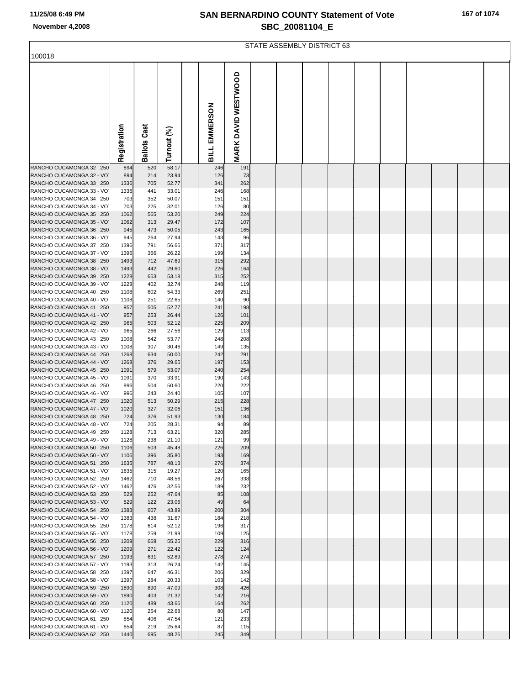|  | 167 of 1074 |
|--|-------------|
|  |             |

|                                                     |              |                 |                |               |                     | STATE ASSEMBLY DISTRICT 63 |  |  |  |  |
|-----------------------------------------------------|--------------|-----------------|----------------|---------------|---------------------|----------------------------|--|--|--|--|
| 100018                                              |              |                 |                |               |                     |                            |  |  |  |  |
|                                                     | Registration | Cast<br>Ballots | Turnout (%)    | BILL EMMERSON | MARK DAVID WESTWOOD |                            |  |  |  |  |
| RANCHO CUCAMONGA 32 250                             | 894          | 520             | 58.17          | 246           | 191                 |                            |  |  |  |  |
| RANCHO CUCAMONGA 32 - VO                            | 894          | 214             | 23.94          | 126           | 73                  |                            |  |  |  |  |
| RANCHO CUCAMONGA 33 250                             | 1336         | 705             | 52.77          | 341           | 262                 |                            |  |  |  |  |
| RANCHO CUCAMONGA 33 - VO<br>RANCHO CUCAMONGA 34 250 | 1336<br>703  | 441<br>352      | 33.01<br>50.07 | 246<br>151    | 168<br>151          |                            |  |  |  |  |
| RANCHO CUCAMONGA 34 - VO                            | 703          | 225             | 32.01          | 126           | 80                  |                            |  |  |  |  |
| RANCHO CUCAMONGA 35 250                             | 1062         | 565             | 53.20          | 249           | 224                 |                            |  |  |  |  |
| RANCHO CUCAMONGA 35 - VO                            | 1062         | 313             | 29.47          | 172           | 107                 |                            |  |  |  |  |
| RANCHO CUCAMONGA 36 250                             | 945          | 473             | 50.05          | 243           | 165                 |                            |  |  |  |  |
| RANCHO CUCAMONGA 36 - VO<br>RANCHO CUCAMONGA 37 250 | 945<br>1396  | 264<br>791      | 27.94<br>56.66 | 143<br>371    | 96<br>317           |                            |  |  |  |  |
| RANCHO CUCAMONGA 37 - VO                            | 1396         | 366             | 26.22          | 199           | 134                 |                            |  |  |  |  |
| RANCHO CUCAMONGA 38 250                             | 1493         | 712             | 47.69          | 315           | 292                 |                            |  |  |  |  |
| RANCHO CUCAMONGA 38 - VO                            | 1493         | 442             | 29.60          | 226           | 164                 |                            |  |  |  |  |
| RANCHO CUCAMONGA 39 250                             | 1228         | 653             | 53.18          | 315           | 252                 |                            |  |  |  |  |
| RANCHO CUCAMONGA 39 - VO<br>RANCHO CUCAMONGA 40 250 | 1228<br>1108 | 402<br>602      | 32.74<br>54.33 | 248<br>269    | 119<br>251          |                            |  |  |  |  |
| RANCHO CUCAMONGA 40 - VO                            | 1108         | 251             | 22.65          | 140           | 90                  |                            |  |  |  |  |
| RANCHO CUCAMONGA 41 250                             | 957          | 505             | 52.77          | 241           | 198                 |                            |  |  |  |  |
| RANCHO CUCAMONGA 41 - VO                            | 957          | 253             | 26.44          | 126           | 101                 |                            |  |  |  |  |
| RANCHO CUCAMONGA 42 250                             | 965          | 503             | 52.12          | 225           | 209                 |                            |  |  |  |  |
| RANCHO CUCAMONGA 42 - VO<br>RANCHO CUCAMONGA 43 250 | 965<br>1008  | 266<br>542      | 27.56<br>53.77 | 129<br>248    | 113<br>208          |                            |  |  |  |  |
| RANCHO CUCAMONGA 43 - VO                            | 1008         | 307             | 30.46          | 149           | 135                 |                            |  |  |  |  |
| RANCHO CUCAMONGA 44 250                             | 1268         | 634             | 50.00          | 242           | 291                 |                            |  |  |  |  |
| RANCHO CUCAMONGA 44 - VO                            | 1268         | 376             | 29.65          | 197           | 153                 |                            |  |  |  |  |
| RANCHO CUCAMONGA 45 250<br>RANCHO CUCAMONGA 45 - VO | 1091<br>1091 | 579<br>370      | 53.07<br>33.91 | 240<br>190    | 254<br>143          |                            |  |  |  |  |
| RANCHO CUCAMONGA 46 250                             | 996          | 504             | 50.60          | 220           | 222                 |                            |  |  |  |  |
| RANCHO CUCAMONGA 46 - VO                            | 996          | 243             | 24.40          | 105           | 107                 |                            |  |  |  |  |
| RANCHO CUCAMONGA 47 250                             | 1020         | 513             | 50.29          | 215           | 228                 |                            |  |  |  |  |
| RANCHO CUCAMONGA 47 - VO<br>RANCHO CUCAMONGA 48 250 | 1020<br>724  | 327<br>376      | 32.06<br>51.93 | 151<br>130    | 136<br>184          |                            |  |  |  |  |
| RANCHO CUCAMONGA 48 - VO                            | 724          | 205             | 28.31          | 94            | 89                  |                            |  |  |  |  |
| RANCHO CUCAMONGA 49 250                             | 1128         | 713             | 63.21          | 320           | 285                 |                            |  |  |  |  |
| RANCHO CUCAMONGA 49 - VO                            | 1128         | 238             | 21.10          | 121           | 99                  |                            |  |  |  |  |
| RANCHO CUCAMONGA 50 250                             | 1106         | 503             | 45.48          | 226           | 209                 |                            |  |  |  |  |
| RANCHO CUCAMONGA 50 - VO<br>RANCHO CUCAMONGA 51 250 | 1106<br>1635 | 396<br>787      | 35.80<br>48.13 | 193<br>276    | 169<br>374          |                            |  |  |  |  |
| RANCHO CUCAMONGA 51 - VO                            | 1635         | 315             | 19.27          | 120           | 165                 |                            |  |  |  |  |
| RANCHO CUCAMONGA 52 250                             | 1462         | 710             | 48.56          | 267           | 338                 |                            |  |  |  |  |
| RANCHO CUCAMONGA 52 - VO                            | 1462         | 476             | 32.56          | 189           | 232                 |                            |  |  |  |  |
| RANCHO CUCAMONGA 53 250<br>RANCHO CUCAMONGA 53 - VO | 529<br>529   | 252<br>122      | 47.64<br>23.06 | 85<br>49      | 108<br>64           |                            |  |  |  |  |
| RANCHO CUCAMONGA 54 250                             | 1383         | 607             | 43.89          | 200           | 304                 |                            |  |  |  |  |
| RANCHO CUCAMONGA 54 - VO                            | 1383         | 438             | 31.67          | 184           | 218                 |                            |  |  |  |  |
| RANCHO CUCAMONGA 55 250                             | 1178         | 614             | 52.12          | 196           | 317                 |                            |  |  |  |  |
| RANCHO CUCAMONGA 55 - VO<br>RANCHO CUCAMONGA 56 250 | 1178<br>1209 | 259<br>668      | 21.99<br>55.25 | 109<br>229    | 125<br>316          |                            |  |  |  |  |
| RANCHO CUCAMONGA 56 - VO                            | 1209         | 271             | 22.42          | 122           | 124                 |                            |  |  |  |  |
| RANCHO CUCAMONGA 57 250                             | 1193         | 631             | 52.89          | 278           | 274                 |                            |  |  |  |  |
| RANCHO CUCAMONGA 57 - VO                            | 1193         | 313             | 26.24          | 142           | 145                 |                            |  |  |  |  |
| RANCHO CUCAMONGA 58 250                             | 1397         | 647             | 46.31          | 206           | 329                 |                            |  |  |  |  |
| RANCHO CUCAMONGA 58 - VO<br>RANCHO CUCAMONGA 59 250 | 1397<br>1890 | 284<br>890      | 20.33<br>47.09 | 103<br>308    | 142<br>426          |                            |  |  |  |  |
| RANCHO CUCAMONGA 59 - VO                            | 1890         | 403             | 21.32          | 142           | 216                 |                            |  |  |  |  |
| RANCHO CUCAMONGA 60 250                             | 1120         | 489             | 43.66          | 164           | 262                 |                            |  |  |  |  |
| RANCHO CUCAMONGA 60 - VO                            | 1120         | 254             | 22.68          | 80            | 147                 |                            |  |  |  |  |
| RANCHO CUCAMONGA 61 250                             | 854          | 406             | 47.54          | 121           | 233                 |                            |  |  |  |  |
| RANCHO CUCAMONGA 61 - VO<br>RANCHO CUCAMONGA 62 250 | 854<br>1440  | 219<br>695      | 25.64<br>48.26 | 87<br>245     | 115<br>349          |                            |  |  |  |  |
|                                                     |              |                 |                |               |                     |                            |  |  |  |  |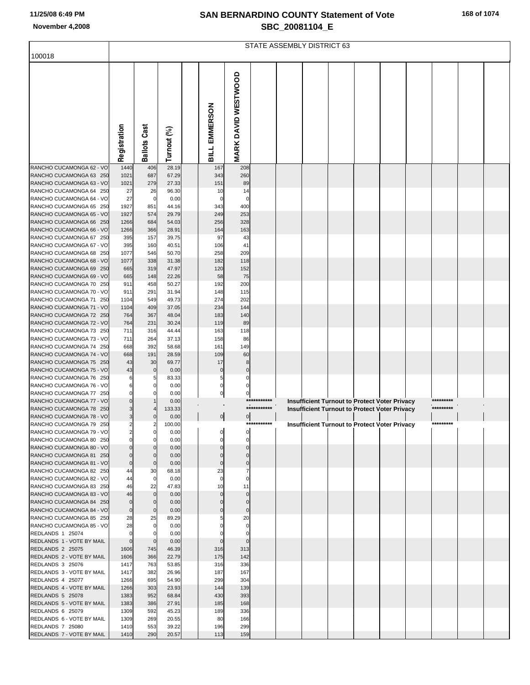|  | 168 of 1074 |
|--|-------------|
|--|-------------|

| 100018                                              |                         |                            |                |             |                            |             | STATE ASSEMBLY DISTRICT 63 |                                                                                                              |  |           |  |
|-----------------------------------------------------|-------------------------|----------------------------|----------------|-------------|----------------------------|-------------|----------------------------|--------------------------------------------------------------------------------------------------------------|--|-----------|--|
|                                                     |                         |                            |                |             |                            |             |                            |                                                                                                              |  |           |  |
|                                                     |                         |                            |                |             |                            |             |                            |                                                                                                              |  |           |  |
|                                                     |                         |                            |                |             | <b>MARK DAVID WESTWOOD</b> |             |                            |                                                                                                              |  |           |  |
|                                                     |                         |                            |                |             |                            |             |                            |                                                                                                              |  |           |  |
|                                                     |                         |                            |                |             |                            |             |                            |                                                                                                              |  |           |  |
|                                                     |                         |                            |                |             |                            |             |                            |                                                                                                              |  |           |  |
|                                                     |                         |                            |                |             |                            |             |                            |                                                                                                              |  |           |  |
|                                                     |                         | Cast                       |                | EMMERSON    |                            |             |                            |                                                                                                              |  |           |  |
|                                                     |                         |                            |                |             |                            |             |                            |                                                                                                              |  |           |  |
|                                                     | Registration            | <b>Ballots</b>             | Turnout (%)    | <b>BILL</b> |                            |             |                            |                                                                                                              |  |           |  |
| RANCHO CUCAMONGA 62 - VO                            | 1440                    | 406                        | 28.19          | 167         | 208                        |             |                            |                                                                                                              |  |           |  |
| RANCHO CUCAMONGA 63 250                             | 1021                    | 687                        | 67.29          | 343         | 260                        |             |                            |                                                                                                              |  |           |  |
| RANCHO CUCAMONGA 63 - VO                            | 1021                    | 279                        | 27.33          | 151         | 89                         |             |                            |                                                                                                              |  |           |  |
| RANCHO CUCAMONGA 64 250                             | 27                      | 26<br>$\mathbf 0$          | 96.30          | 10          | 14<br>$\mathcal{C}$        |             |                            |                                                                                                              |  |           |  |
| RANCHO CUCAMONGA 64 - VO<br>RANCHO CUCAMONGA 65 250 | 27<br>1927              | 851                        | 0.00<br>44.16  | 343         | 400                        |             |                            |                                                                                                              |  |           |  |
| RANCHO CUCAMONGA 65 - VO                            | 1927                    | 574                        | 29.79          | 249         | 253                        |             |                            |                                                                                                              |  |           |  |
| RANCHO CUCAMONGA 66 250                             | 1266                    | 684                        | 54.03          | 256         | 328                        |             |                            |                                                                                                              |  |           |  |
| RANCHO CUCAMONGA 66 - VO                            | 1266                    | 366                        | 28.91          | 164         | 163                        |             |                            |                                                                                                              |  |           |  |
| RANCHO CUCAMONGA 67 250<br>RANCHO CUCAMONGA 67 - VO | 395<br>395              | 157<br>160                 | 39.75<br>40.51 | 97<br>106   | 43<br>41                   |             |                            |                                                                                                              |  |           |  |
| RANCHO CUCAMONGA 68 250                             | 1077                    | 546                        | 50.70          | 258         | 209                        |             |                            |                                                                                                              |  |           |  |
| RANCHO CUCAMONGA 68 - VO                            | 1077                    | 338                        | 31.38          | 182         | 118                        |             |                            |                                                                                                              |  |           |  |
| RANCHO CUCAMONGA 69 250                             | 665                     | 319                        | 47.97          | 120         | 152                        |             |                            |                                                                                                              |  |           |  |
| RANCHO CUCAMONGA 69 - VO<br>RANCHO CUCAMONGA 70 250 | 665<br>911              | 148<br>458                 | 22.26<br>50.27 | 58<br>192   | 75<br>200                  |             |                            |                                                                                                              |  |           |  |
| RANCHO CUCAMONGA 70 - VO                            | 911                     | 291                        | 31.94          | 148         | 115                        |             |                            |                                                                                                              |  |           |  |
| RANCHO CUCAMONGA 71 250                             | 1104                    | 549                        | 49.73          | 274         | 202                        |             |                            |                                                                                                              |  |           |  |
| RANCHO CUCAMONGA 71 - VO                            | 1104                    | 409                        | 37.05          | 234         | 144                        |             |                            |                                                                                                              |  |           |  |
| RANCHO CUCAMONGA 72 250<br>RANCHO CUCAMONGA 72 - VO | 764<br>764              | 367<br>231                 | 48.04<br>30.24 | 183<br>119  | 140<br>89                  |             |                            |                                                                                                              |  |           |  |
| RANCHO CUCAMONGA 73 250                             | 711                     | 316                        | 44.44          | 163         | 118                        |             |                            |                                                                                                              |  |           |  |
| RANCHO CUCAMONGA 73 - VO                            | 711                     | 264                        | 37.13          | 158         | 86                         |             |                            |                                                                                                              |  |           |  |
| RANCHO CUCAMONGA 74 250                             | 668                     | 392                        | 58.68          | 161         | 149                        |             |                            |                                                                                                              |  |           |  |
| RANCHO CUCAMONGA 74 - VO                            | 668                     | 191                        | 28.59          | 109         | 60                         |             |                            |                                                                                                              |  |           |  |
| RANCHO CUCAMONGA 75 250<br>RANCHO CUCAMONGA 75 - VO | 43<br>43                | 30<br>$\pmb{0}$            | 69.77<br>0.00  | 17          |                            |             |                            |                                                                                                              |  |           |  |
| RANCHO CUCAMONGA 76 250                             | 6                       | 5                          | 83.33          |             |                            |             |                            |                                                                                                              |  |           |  |
| RANCHO CUCAMONGA 76 - VO                            | 6                       | 0                          | 0.00           |             |                            |             |                            |                                                                                                              |  |           |  |
| RANCHO CUCAMONGA 77 250                             |                         | $\Omega$                   | 0.00           |             | 0                          | *********** |                            |                                                                                                              |  |           |  |
| RANCHO CUCAMONGA 77 - VO<br>RANCHO CUCAMONGA 78 250 |                         |                            | 0.00<br>133.33 |             |                            | *********** |                            | <b>Insufficient Turnout to Protect Voter Privacy</b><br><b>Insufficient Turnout to Protect Voter Privacy</b> |  | ********* |  |
| RANCHO CUCAMONGA 78 - VO                            | 3                       | $\mathbf 0$                | 0.00           |             | $\circ$<br>$\overline{0}$  |             |                            |                                                                                                              |  |           |  |
| RANCHO CUCAMONGA 79 250                             |                         |                            | 100.00         |             |                            | *******     |                            | <b>Insufficient Turnout to Protect Voter Privacy</b>                                                         |  | ********* |  |
| RANCHO CUCAMONGA 79 - VO                            | $\overline{2}$          | $\mathbf 0$<br>$\mathbf 0$ | 0.00           |             | $\Omega$                   |             |                            |                                                                                                              |  |           |  |
| RANCHO CUCAMONGA 80 250<br>RANCHO CUCAMONGA 80 - VO | $\mathbf 0$<br>$\Omega$ | $\mathbf 0$                | 0.00<br>0.00   |             |                            |             |                            |                                                                                                              |  |           |  |
| RANCHO CUCAMONGA 81 250                             | 0                       | $\mathbf 0$                | 0.00           |             |                            |             |                            |                                                                                                              |  |           |  |
| RANCHO CUCAMONGA 81 - VO                            | $\mathbf 0$             | $\mathbf 0$                | 0.00           |             |                            |             |                            |                                                                                                              |  |           |  |
| RANCHO CUCAMONGA 82 250                             | 44<br>44                | 30<br>$\mathbf 0$          | 68.18<br>0.00  | 23          |                            |             |                            |                                                                                                              |  |           |  |
| RANCHO CUCAMONGA 82 - VO<br>RANCHO CUCAMONGA 83 250 | 46                      | 22                         | 47.83          | 10          | 11                         |             |                            |                                                                                                              |  |           |  |
| RANCHO CUCAMONGA 83 - VO                            | 46                      | $\mathbf 0$                | 0.00           |             |                            |             |                            |                                                                                                              |  |           |  |
| RANCHO CUCAMONGA 84 250                             | $\mathbf 0$             | $\mathbf 0$                | 0.00           |             |                            |             |                            |                                                                                                              |  |           |  |
| RANCHO CUCAMONGA 84 - VO                            | $\mathbf 0$             | $\mathbf 0$                | 0.00           |             |                            |             |                            |                                                                                                              |  |           |  |
| RANCHO CUCAMONGA 85 250<br>RANCHO CUCAMONGA 85 - VO | 28<br>28                | 25<br>$\mathbf 0$          | 89.29<br>0.00  |             | 20                         |             |                            |                                                                                                              |  |           |  |
| REDLANDS 1 25074                                    | $\mathbf 0$             | 0                          | 0.00           |             |                            |             |                            |                                                                                                              |  |           |  |
| REDLANDS 1 - VOTE BY MAIL                           | $\mathbf 0$             | $\mathbf 0$                | 0.00           |             |                            |             |                            |                                                                                                              |  |           |  |
| REDLANDS 2 25075                                    | 1606                    | 745                        | 46.39          | 316         | 313                        |             |                            |                                                                                                              |  |           |  |
| REDLANDS 2 - VOTE BY MAIL<br>REDLANDS 3 25076       | 1606<br>1417            | 366<br>763                 | 22.79<br>53.85 | 175<br>316  | 142<br>336                 |             |                            |                                                                                                              |  |           |  |
| REDLANDS 3 - VOTE BY MAIL                           | 1417                    | 382                        | 26.96          | 187         | 167                        |             |                            |                                                                                                              |  |           |  |
| REDLANDS 4 25077                                    | 1266                    | 695                        | 54.90          | 299         | 304                        |             |                            |                                                                                                              |  |           |  |
| REDLANDS 4 - VOTE BY MAIL                           | 1266                    | 303                        | 23.93          | 144         | 139                        |             |                            |                                                                                                              |  |           |  |
| REDLANDS 5 25078<br>REDLANDS 5 - VOTE BY MAIL       | 1383<br>1383            | 952<br>386                 | 68.84<br>27.91 | 430<br>185  | 393<br>168                 |             |                            |                                                                                                              |  |           |  |
| REDLANDS 6 25079                                    | 1309                    | 592                        | 45.23          | 189         | 336                        |             |                            |                                                                                                              |  |           |  |
| REDLANDS 6 - VOTE BY MAIL                           | 1309                    | 269                        | 20.55          | 80          | 166                        |             |                            |                                                                                                              |  |           |  |
| REDLANDS 7 25080                                    | 1410                    | 553                        | 39.22          | 196         | 299                        |             |                            |                                                                                                              |  |           |  |
| REDLANDS 7 - VOTE BY MAIL                           | 1410                    | 290                        | 20.57          | 113         | 159                        |             |                            |                                                                                                              |  |           |  |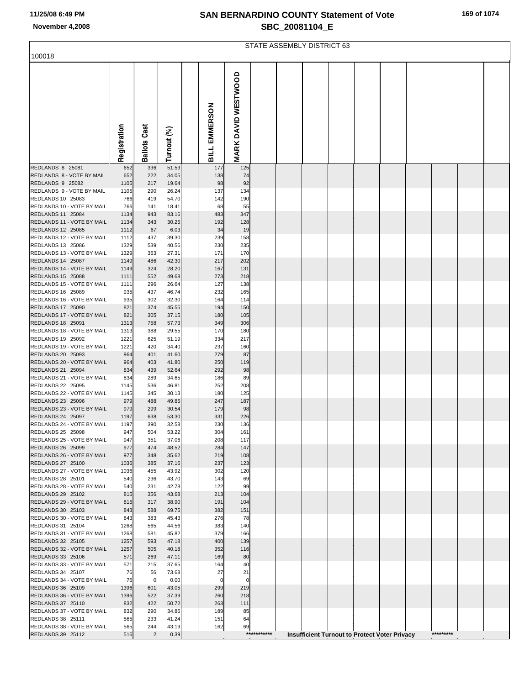|  | 169 of 1074 |
|--|-------------|
|  |             |

|                                                 | STATE ASSEMBLY DISTRICT 63 |                 |                |  |               |                     |             |  |  |  |  |                                                      |           |  |
|-------------------------------------------------|----------------------------|-----------------|----------------|--|---------------|---------------------|-------------|--|--|--|--|------------------------------------------------------|-----------|--|
| 100018                                          |                            |                 |                |  |               |                     |             |  |  |  |  |                                                      |           |  |
|                                                 | Registration               | Cast<br>Ballots | Turnout (%)    |  | BILL EMMERSON | MARK DAVID WESTWOOD |             |  |  |  |  |                                                      |           |  |
| REDLANDS 8 25081                                | 652                        | 336             | 51.53          |  | 177           | 125                 |             |  |  |  |  |                                                      |           |  |
| REDLANDS 8 - VOTE BY MAIL                       | 652                        | 222             | 34.05          |  | 138           | 74                  |             |  |  |  |  |                                                      |           |  |
| REDLANDS 9 25082<br>REDLANDS 9 - VOTE BY MAIL   | 1105<br>1105               | 217<br>290      | 19.64<br>26.24 |  | 98<br>137     | 92<br>134           |             |  |  |  |  |                                                      |           |  |
| REDLANDS 10 25083                               | 766                        | 419             | 54.70          |  | 142           | 190                 |             |  |  |  |  |                                                      |           |  |
| REDLANDS 10 - VOTE BY MAIL                      | 766                        | 141             | 18.41          |  | 68            | 55                  |             |  |  |  |  |                                                      |           |  |
| REDLANDS 11 25084                               | 1134                       | 943             | 83.16          |  | 483           | 347                 |             |  |  |  |  |                                                      |           |  |
| REDLANDS 11 - VOTE BY MAIL                      | 1134                       | 343             | 30.25          |  | 192           | 128                 |             |  |  |  |  |                                                      |           |  |
| REDLANDS 12 25085                               | 1112                       | 67              | 6.03           |  | 34            | 19                  |             |  |  |  |  |                                                      |           |  |
| REDLANDS 12 - VOTE BY MAIL<br>REDLANDS 13 25086 | 1112<br>1329               | 437<br>539      | 39.30<br>40.56 |  | 239<br>230    | 158<br>235          |             |  |  |  |  |                                                      |           |  |
| REDLANDS 13 - VOTE BY MAIL                      | 1329                       | 363             | 27.31          |  | 171           | 170                 |             |  |  |  |  |                                                      |           |  |
| REDLANDS 14 25087                               | 1149                       | 486             | 42.30          |  | 217           | 202                 |             |  |  |  |  |                                                      |           |  |
| REDLANDS 14 - VOTE BY MAIL                      | 1149                       | 324             | 28.20          |  | 167           | 131                 |             |  |  |  |  |                                                      |           |  |
| REDLANDS 15 25088                               | 1111                       | 552             | 49.68          |  | 273           | 218                 |             |  |  |  |  |                                                      |           |  |
| REDLANDS 15 - VOTE BY MAIL<br>REDLANDS 16 25089 | 1111<br>935                | 296<br>437      | 26.64<br>46.74 |  | 127<br>232    | 138<br>165          |             |  |  |  |  |                                                      |           |  |
| REDLANDS 16 - VOTE BY MAIL                      | 935                        | 302             | 32.30          |  | 164           | 114                 |             |  |  |  |  |                                                      |           |  |
| REDLANDS 17 25090                               | 821                        | 374             | 45.55          |  | 194           | 150                 |             |  |  |  |  |                                                      |           |  |
| REDLANDS 17 - VOTE BY MAIL                      | 821                        | 305             | 37.15          |  | 180           | 105                 |             |  |  |  |  |                                                      |           |  |
| REDLANDS 18 25091                               | 1313                       | 758             | 57.73          |  | 349           | 306                 |             |  |  |  |  |                                                      |           |  |
| REDLANDS 18 - VOTE BY MAIL<br>REDLANDS 19 25092 | 1313<br>1221               | 388<br>625      | 29.55<br>51.19 |  | 170<br>334    | 180<br>217          |             |  |  |  |  |                                                      |           |  |
| REDLANDS 19 - VOTE BY MAIL                      | 1221                       | 420             | 34.40          |  | 237           | 160                 |             |  |  |  |  |                                                      |           |  |
| REDLANDS 20 25093                               | 964                        | 401             | 41.60          |  | 279           | 87                  |             |  |  |  |  |                                                      |           |  |
| REDLANDS 20 - VOTE BY MAIL                      | 964                        | 403             | 41.80          |  | 250           | 119                 |             |  |  |  |  |                                                      |           |  |
| REDLANDS 21 25094                               | 834                        | 439             | 52.64          |  | 292           | 98                  |             |  |  |  |  |                                                      |           |  |
| REDLANDS 21 - VOTE BY MAIL<br>REDLANDS 22 25095 | 834<br>1145                | 289<br>536      | 34.65<br>46.81 |  | 186<br>252    | 89<br>208           |             |  |  |  |  |                                                      |           |  |
| REDLANDS 22 - VOTE BY MAIL                      | 1145                       | 345             | 30.13          |  | 180           | 125                 |             |  |  |  |  |                                                      |           |  |
| REDLANDS 23 25096                               | 979                        | 488             | 49.85          |  | 247           | 187                 |             |  |  |  |  |                                                      |           |  |
| REDLANDS 23 - VOTE BY MAIL                      | 979                        | 299             | 30.54          |  | 179           | 98                  |             |  |  |  |  |                                                      |           |  |
| REDLANDS 24 25097<br>REDLANDS 24 - VOTE BY MAIL | 1197                       | 638             | 53.30          |  | 331           | 226                 |             |  |  |  |  |                                                      |           |  |
| REDLANDS 25 25098                               | 1197<br>947                | 390<br>504      | 32.58<br>53.22 |  | 230<br>304    | 136<br>161          |             |  |  |  |  |                                                      |           |  |
| REDLANDS 25 - VOTE BY MAIL                      | 947                        | 351             | 37.06          |  | 208           | 117                 |             |  |  |  |  |                                                      |           |  |
| REDLANDS 26 25099                               | 977                        | 474             | 48.52          |  | 284           | 147                 |             |  |  |  |  |                                                      |           |  |
| REDLANDS 26 - VOTE BY MAIL                      | 977                        | 348             | 35.62          |  | 219           | 108                 |             |  |  |  |  |                                                      |           |  |
| REDLANDS 27 25100<br>REDLANDS 27 - VOTE BY MAIL | 1036<br>1036               | 385<br>455      | 37.16<br>43.92 |  | 237<br>302    | 123<br>120          |             |  |  |  |  |                                                      |           |  |
| REDLANDS 28 25101                               | 540                        | 236             | 43.70          |  | 143           | 69                  |             |  |  |  |  |                                                      |           |  |
| REDLANDS 28 - VOTE BY MAIL                      | 540                        | 231             | 42.78          |  | 122           | 99                  |             |  |  |  |  |                                                      |           |  |
| REDLANDS 29 25102                               | 815                        | 356             | 43.68          |  | 213           | 104                 |             |  |  |  |  |                                                      |           |  |
| REDLANDS 29 - VOTE BY MAIL                      | 815                        | 317             | 38.90          |  | 191           | 104                 |             |  |  |  |  |                                                      |           |  |
| REDLANDS 30 25103<br>REDLANDS 30 - VOTE BY MAIL | 843<br>843                 | 588<br>383      | 69.75<br>45.43 |  | 382<br>276    | 151<br>78           |             |  |  |  |  |                                                      |           |  |
| REDLANDS 31 25104                               | 1268                       | 565             | 44.56          |  | 383           | 140                 |             |  |  |  |  |                                                      |           |  |
| REDLANDS 31 - VOTE BY MAIL                      | 1268                       | 581             | 45.82          |  | 379           | 166                 |             |  |  |  |  |                                                      |           |  |
| REDLANDS 32 25105                               | 1257                       | 593             | 47.18          |  | 400           | 139                 |             |  |  |  |  |                                                      |           |  |
| REDLANDS 32 - VOTE BY MAIL                      | 1257                       | 505             | 40.18          |  | 352           | 116                 |             |  |  |  |  |                                                      |           |  |
| REDLANDS 33 25106<br>REDLANDS 33 - VOTE BY MAIL | 571<br>571                 | 269<br>215      | 47.11<br>37.65 |  | 169<br>164    | 80<br>40            |             |  |  |  |  |                                                      |           |  |
| REDLANDS 34 25107                               | 76                         | 56              | 73.68          |  | 27            | 21                  |             |  |  |  |  |                                                      |           |  |
| REDLANDS 34 - VOTE BY MAIL                      | 76                         | $\mathbf 0$     | 0.00           |  | $\mathbf 0$   | $\mathbf 0$         |             |  |  |  |  |                                                      |           |  |
| REDLANDS 36 25109                               | 1396                       | 601             | 43.05          |  | 299           | 219                 |             |  |  |  |  |                                                      |           |  |
| REDLANDS 36 - VOTE BY MAIL                      | 1396                       | 522             | 37.39          |  | 260           | 218                 |             |  |  |  |  |                                                      |           |  |
| REDLANDS 37 25110<br>REDLANDS 37 - VOTE BY MAIL | 832<br>832                 | 422<br>290      | 50.72<br>34.86 |  | 263<br>189    | 111<br>85           |             |  |  |  |  |                                                      |           |  |
| REDLANDS 38 25111                               | 565                        | 233             | 41.24          |  | 151           | 64                  |             |  |  |  |  |                                                      |           |  |
| REDLANDS 38 - VOTE BY MAIL                      | 565                        | 244             | 43.19          |  | 162           | 69                  |             |  |  |  |  |                                                      |           |  |
| REDLANDS 39 25112                               | 516                        | $\overline{2}$  | 0.39           |  |               |                     | *********** |  |  |  |  | <b>Insufficient Turnout to Protect Voter Privacy</b> | ********* |  |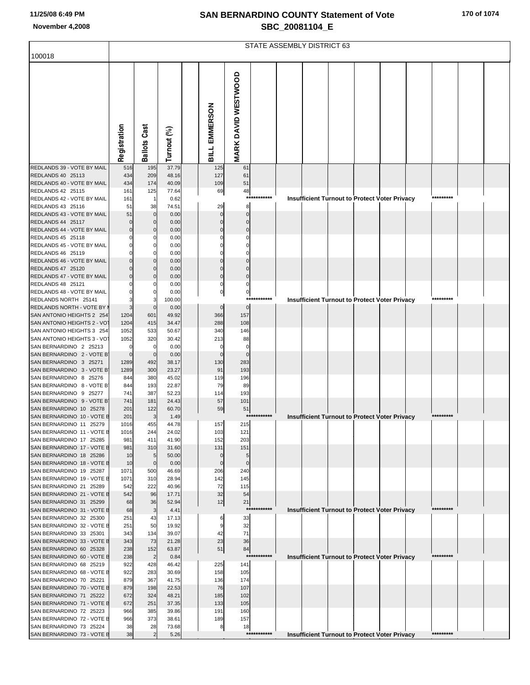|  |  |  |  | 170 of 1074 |
|--|--|--|--|-------------|
|--|--|--|--|-------------|

|                                                          | STATE ASSEMBLY DISTRICT 63 |                       |                |                          |                        |             |                                                                   |  |  |  |  |  |  |  |
|----------------------------------------------------------|----------------------------|-----------------------|----------------|--------------------------|------------------------|-------------|-------------------------------------------------------------------|--|--|--|--|--|--|--|
| 100018                                                   |                            |                       |                |                          |                        |             |                                                                   |  |  |  |  |  |  |  |
|                                                          |                            |                       |                |                          |                        |             |                                                                   |  |  |  |  |  |  |  |
|                                                          |                            |                       |                |                          | MARK DAVID WESTWOOD    |             |                                                                   |  |  |  |  |  |  |  |
|                                                          |                            |                       |                |                          |                        |             |                                                                   |  |  |  |  |  |  |  |
|                                                          |                            |                       |                |                          |                        |             |                                                                   |  |  |  |  |  |  |  |
|                                                          |                            |                       |                |                          |                        |             |                                                                   |  |  |  |  |  |  |  |
|                                                          |                            |                       |                |                          |                        |             |                                                                   |  |  |  |  |  |  |  |
|                                                          |                            |                       |                |                          |                        |             |                                                                   |  |  |  |  |  |  |  |
|                                                          |                            |                       |                |                          |                        |             |                                                                   |  |  |  |  |  |  |  |
|                                                          |                            |                       |                |                          |                        |             |                                                                   |  |  |  |  |  |  |  |
|                                                          | Registration               | <b>Ballots Cast</b>   | Turnout (%)    | BILL EMMERSON            |                        |             |                                                                   |  |  |  |  |  |  |  |
| REDLANDS 39 - VOTE BY MAIL                               | 516                        | 195                   | 37.79          | 125                      | 61                     |             |                                                                   |  |  |  |  |  |  |  |
| REDLANDS 40 25113                                        | 434                        | 209                   | 48.16          | 127                      | 61                     |             |                                                                   |  |  |  |  |  |  |  |
| REDLANDS 40 - VOTE BY MAIL                               | 434                        | 174                   | 40.09          | 109                      | 51                     |             |                                                                   |  |  |  |  |  |  |  |
| REDLANDS 42 25115<br>REDLANDS 42 - VOTE BY MAIL          | 161<br>161                 | 125<br>-1             | 77.64<br>0.62  | 69                       | 48                     | *********** | *********                                                         |  |  |  |  |  |  |  |
| REDLANDS 43 25116                                        | 51                         | 38                    | 74.51          | 29                       | 8                      |             | <b>Insufficient Turnout to Protect Voter Privacy</b>              |  |  |  |  |  |  |  |
| REDLANDS 43 - VOTE BY MAIL                               | 51                         | 0                     | 0.00           | $\mathbf 0$              | $\pmb{0}$              |             |                                                                   |  |  |  |  |  |  |  |
| REDLANDS 44 25117                                        | $\epsilon$                 |                       | 0.00           | $\Omega$                 | $\mathbf 0$            |             |                                                                   |  |  |  |  |  |  |  |
| REDLANDS 44 - VOTE BY MAIL                               |                            |                       | 0.00           | $\mathbf 0$              | $\mathbf 0$            |             |                                                                   |  |  |  |  |  |  |  |
| REDLANDS 45 25118<br>REDLANDS 45 - VOTE BY MAIL          |                            |                       | 0.00<br>0.00   |                          | 0<br>$\mathbf 0$       |             |                                                                   |  |  |  |  |  |  |  |
| REDLANDS 46 25119                                        |                            |                       | 0.00           |                          | $\Omega$               |             |                                                                   |  |  |  |  |  |  |  |
| REDLANDS 46 - VOTE BY MAIL                               |                            |                       | 0.00           | $\Omega$                 | $\mathbf 0$            |             |                                                                   |  |  |  |  |  |  |  |
| REDLANDS 47 25120                                        |                            |                       | 0.00           | $\Omega$                 | $\Omega$               |             |                                                                   |  |  |  |  |  |  |  |
| REDLANDS 47 - VOTE BY MAIL<br>REDLANDS 48 25121          |                            |                       | 0.00<br>0.00   | $\pmb{0}$<br>$\mathbf 0$ | $\pmb{0}$<br>$\pmb{0}$ |             |                                                                   |  |  |  |  |  |  |  |
| REDLANDS 48 - VOTE BY MAIL                               |                            |                       | 0.00           | $\overline{0}$           | $\overline{0}$         |             |                                                                   |  |  |  |  |  |  |  |
| REDLANDS NORTH 25141                                     |                            |                       | 100.00         |                          | $***$                  | *******     | *********<br><b>Insufficient Turnout to Protect Voter Privacy</b> |  |  |  |  |  |  |  |
| REDLANDS NORTH - VOTE BY I                               |                            |                       | 0.00           | $\pmb{0}$                | $\mathbf 0$            |             |                                                                   |  |  |  |  |  |  |  |
| SAN ANTONIO HEIGHTS 2 254<br>SAN ANTONIO HEIGHTS 2 - VOT | 1204<br>1204               | 601<br>415            | 49.92<br>34.47 | 366<br>288               | 157<br>108             |             |                                                                   |  |  |  |  |  |  |  |
| SAN ANTONIO HEIGHTS 3 254                                | 1052                       | 533                   | 50.67          | 340                      | 146                    |             |                                                                   |  |  |  |  |  |  |  |
| SAN ANTONIO HEIGHTS 3 - VOT                              | 1052                       | 320                   | 30.42          | 213                      | 88                     |             |                                                                   |  |  |  |  |  |  |  |
| SAN BERNARDINO 2 25213                                   | $\epsilon$                 |                       | 0.00           | $\Omega$                 | $\mathbf 0$            |             |                                                                   |  |  |  |  |  |  |  |
| SAN BERNARDINO 2 - VOTE B<br>SAN BERNARDINO 3 25271      | $\Omega$<br>1289           | $\Omega$<br>492       | 0.00<br>38.17  | $\Omega$<br>130          | $\mathbf 0$<br>283     |             |                                                                   |  |  |  |  |  |  |  |
| SAN BERNARDINO 3 - VOTE B                                | 1289                       | 300                   | 23.27          | 91                       | 193                    |             |                                                                   |  |  |  |  |  |  |  |
| SAN BERNARDINO 8 25276                                   | 844                        | 380                   | 45.02          | 119                      | 196                    |             |                                                                   |  |  |  |  |  |  |  |
| SAN BERNARDINO 8 - VOTE B                                | 844                        | 193                   | 22.87          | 79                       | 89                     |             |                                                                   |  |  |  |  |  |  |  |
| SAN BERNARDINO 9 25277<br>SAN BERNARDINO 9 - VOTE B      | 741<br>741                 | 387<br>181            | 52.23<br>24.43 | 114<br>57                | 193<br>101             |             |                                                                   |  |  |  |  |  |  |  |
| SAN BERNARDINO 10 25278                                  | 201                        | 122                   | 60.70          | 59                       | 51                     |             |                                                                   |  |  |  |  |  |  |  |
| SAN BERNARDINO 10 - VOTE E                               | 201                        | 3                     | 1.49           |                          |                        | *********** | *********<br><b>Insufficient Turnout to Protect Voter Privacy</b> |  |  |  |  |  |  |  |
| SAN BERNARDINO 11 25279                                  | 1016                       | 455                   | 44.78          | 157                      | 215                    |             |                                                                   |  |  |  |  |  |  |  |
| SAN BERNARDINO 11 - VOTE E<br>SAN BERNARDINO 17 25285    | 1016<br>981                | 244<br>411            | 24.02<br>41.90 | 103<br>152               | 121<br>203             |             |                                                                   |  |  |  |  |  |  |  |
| SAN BERNARDINO 17 - VOTE E                               | 981                        | 310                   | 31.60          | 131                      | 151                    |             |                                                                   |  |  |  |  |  |  |  |
| SAN BERNARDINO 18 25286                                  | 10                         | 5                     | 50.00          | $\mathbf 0$              | 5                      |             |                                                                   |  |  |  |  |  |  |  |
| SAN BERNARDINO 18 - VOTE E                               | 10                         | $\mathbf 0$           | 0.00           | $\mathbf{0}$             | $\mathbf 0$            |             |                                                                   |  |  |  |  |  |  |  |
| SAN BERNARDINO 19 25287<br>SAN BERNARDINO 19 - VOTE E    | 1071<br>1071               | 500<br>310            | 46.69<br>28.94 | 206<br>142               | 240<br>145             |             |                                                                   |  |  |  |  |  |  |  |
| SAN BERNARDINO 21 25289                                  | 542                        | 222                   | 40.96          | 72                       | 115                    |             |                                                                   |  |  |  |  |  |  |  |
| SAN BERNARDINO 21 - VOTE E                               | 542                        | 96                    | 17.71          | 32                       | 54                     |             |                                                                   |  |  |  |  |  |  |  |
| SAN BERNARDINO 31 25299                                  | 68                         | 36                    | 52.94          | 12                       | 21                     | *********** | *********                                                         |  |  |  |  |  |  |  |
| SAN BERNARDINO 31 - VOTE E<br>SAN BERNARDINO 32 25300    | 68<br>251                  | 3<br>43               | 4.41<br>17.13  |                          | 33                     |             | Insufficient Turnout to Protect Voter Privacy                     |  |  |  |  |  |  |  |
| SAN BERNARDINO 32 - VOTE E                               | 251                        | 50                    | 19.92          | 6<br>9                   | 32                     |             |                                                                   |  |  |  |  |  |  |  |
| SAN BERNARDINO 33 25301                                  | 343                        | 134                   | 39.07          | 42                       | 71                     |             |                                                                   |  |  |  |  |  |  |  |
| SAN BERNARDINO 33 - VOTE E                               | 343                        | 73                    | 21.28          | 23                       | 36                     |             |                                                                   |  |  |  |  |  |  |  |
| SAN BERNARDINO 60 25328<br>SAN BERNARDINO 60 - VOTE E    | 238<br>238                 | 152<br>$\overline{2}$ | 63.87<br>0.84  | 51                       | 84                     | *********** | <b>Insufficient Turnout to Protect Voter Privacy</b><br>********* |  |  |  |  |  |  |  |
| SAN BERNARDINO 68 25219                                  | 922                        | 428                   | 46.42          | 225                      | 141                    |             |                                                                   |  |  |  |  |  |  |  |
| SAN BERNARDINO 68 - VOTE E                               | 922                        | 283                   | 30.69          | 158                      | 105                    |             |                                                                   |  |  |  |  |  |  |  |
| SAN BERNARDINO 70 25221                                  | 879                        | 367                   | 41.75          | 136                      | 174                    |             |                                                                   |  |  |  |  |  |  |  |
| SAN BERNARDINO 70 - VOTE E<br>SAN BERNARDINO 71 25222    | 879<br>672                 | 198<br>324            | 22.53<br>48.21 | 76<br>185                | 107<br>102             |             |                                                                   |  |  |  |  |  |  |  |
| SAN BERNARDINO 71 - VOTE E                               | 672                        | 251                   | 37.35          | 133                      | 105                    |             |                                                                   |  |  |  |  |  |  |  |
| SAN BERNARDINO 72 25223                                  | 966                        | 385                   | 39.86          | 191                      | 160                    |             |                                                                   |  |  |  |  |  |  |  |
| SAN BERNARDINO 72 - VOTE E                               | 966                        | 373                   | 38.61          | 189                      | 157                    |             |                                                                   |  |  |  |  |  |  |  |
| SAN BERNARDINO 73 25224                                  | 38                         | 28                    | 73.68          | 8                        | 18                     | *********** | *********                                                         |  |  |  |  |  |  |  |
| SAN BERNARDINO 73 - VOTE E                               | 38                         | $\overline{2}$        | 5.26           |                          |                        |             | <b>Insufficient Turnout to Protect Voter Privacy</b>              |  |  |  |  |  |  |  |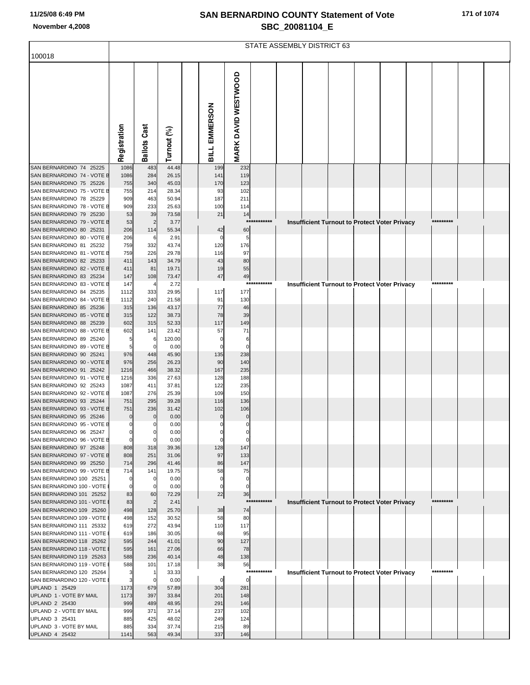|  |  |  |  |  |  | 171 of 1074 |
|--|--|--|--|--|--|-------------|
|--|--|--|--|--|--|-------------|

|                                                       | STATE ASSEMBLY DISTRICT 63      |                                |                |  |                         |                             |             |  |  |  |  |                                                      |           |  |
|-------------------------------------------------------|---------------------------------|--------------------------------|----------------|--|-------------------------|-----------------------------|-------------|--|--|--|--|------------------------------------------------------|-----------|--|
| 100018                                                |                                 |                                |                |  |                         |                             |             |  |  |  |  |                                                      |           |  |
|                                                       | Registration                    | <b>Ballots Cast</b>            | Turnout (%)    |  | BILL EMMERSON           | MARK DAVID WESTWOOD         |             |  |  |  |  |                                                      |           |  |
| SAN BERNARDINO 74 25225                               | 1086                            | 483                            | 44.48          |  | 199                     | 232                         |             |  |  |  |  |                                                      |           |  |
| SAN BERNARDINO 74 - VOTE E<br>SAN BERNARDINO 75 25226 | 1086<br>755                     | 284<br>340                     | 26.15<br>45.03 |  | 141<br>170              | 119<br>123                  |             |  |  |  |  |                                                      |           |  |
| SAN BERNARDINO 75 - VOTE B                            | 755                             | 214                            | 28.34          |  | 93                      | 102                         |             |  |  |  |  |                                                      |           |  |
| SAN BERNARDINO 78 25229                               | 909                             | 463                            | 50.94          |  | 187                     | 211                         |             |  |  |  |  |                                                      |           |  |
| SAN BERNARDINO 78 - VOTE E                            | 909                             | 233                            | 25.63          |  | 100                     | 114                         |             |  |  |  |  |                                                      |           |  |
| SAN BERNARDINO 79 25230<br>SAN BERNARDINO 79 - VOTE E | 53<br>53                        | 39<br>$\overline{2}$           | 73.58<br>3.77  |  | 21                      | 14<br>****                  | ********    |  |  |  |  | <b>Insufficient Turnout to Protect Voter Privacy</b> | ********* |  |
| SAN BERNARDINO 80 25231                               | 206                             | 114                            | 55.34          |  | 42                      | 60                          |             |  |  |  |  |                                                      |           |  |
| SAN BERNARDINO 80 - VOTE B                            | 206                             | 6                              | 2.91           |  | 0                       | 5                           |             |  |  |  |  |                                                      |           |  |
| SAN BERNARDINO 81 25232                               | 759                             | 332                            | 43.74          |  | 120                     | 176                         |             |  |  |  |  |                                                      |           |  |
| SAN BERNARDINO 81 - VOTE E                            | 759                             | 226                            | 29.78          |  | 116                     | 97                          |             |  |  |  |  |                                                      |           |  |
| SAN BERNARDINO 82 25233<br>SAN BERNARDINO 82 - VOTE E | 411<br>411                      | 143<br>81                      | 34.79<br>19.71 |  | 43<br>19                | 80<br>55                    |             |  |  |  |  |                                                      |           |  |
| SAN BERNARDINO 83 25234                               | 147                             | 108                            | 73.47          |  | 47                      | 49                          |             |  |  |  |  |                                                      |           |  |
| SAN BERNARDINO 83 - VOTE E                            | 147                             | 4                              | 2.72           |  |                         |                             | *********** |  |  |  |  | <b>Insufficient Turnout to Protect Voter Privacy</b> | ********* |  |
| SAN BERNARDINO 84 25235                               | 1112                            | 333                            | 29.95          |  | 117                     | 177                         |             |  |  |  |  |                                                      |           |  |
| SAN BERNARDINO 84 - VOTE E<br>SAN BERNARDINO 85 25236 | 1112<br>315                     | 240<br>136                     | 21.58<br>43.17 |  | 91<br>77                | 130<br>46                   |             |  |  |  |  |                                                      |           |  |
| SAN BERNARDINO 85 - VOTE B                            | 315                             | 122                            | 38.73          |  | 78                      | 39                          |             |  |  |  |  |                                                      |           |  |
| SAN BERNARDINO 88 25239                               | 602                             | 315                            | 52.33          |  | 117                     | 149                         |             |  |  |  |  |                                                      |           |  |
| SAN BERNARDINO 88 - VOTE E                            | 602                             | 141                            | 23.42          |  | 57                      | 71                          |             |  |  |  |  |                                                      |           |  |
| SAN BERNARDINO 89 25240<br>SAN BERNARDINO 89 - VOTE E | 5<br>5                          | 6<br>0                         | 120.00<br>0.00 |  | $\mathbf 0$<br>$\Omega$ | 6<br>$\mathbf 0$            |             |  |  |  |  |                                                      |           |  |
| SAN BERNARDINO 90 25241                               | 976                             | 448                            | 45.90          |  | 135                     | 238                         |             |  |  |  |  |                                                      |           |  |
| SAN BERNARDINO 90 - VOTE E                            | 976                             | 256                            | 26.23          |  | 90                      | 140                         |             |  |  |  |  |                                                      |           |  |
| SAN BERNARDINO 91 25242                               | 1216                            | 466                            | 38.32          |  | 167                     | 235                         |             |  |  |  |  |                                                      |           |  |
| SAN BERNARDINO 91 - VOTE E<br>SAN BERNARDINO 92 25243 | 1216<br>1087                    | 336<br>411                     | 27.63<br>37.81 |  | 128<br>122              | 188<br>235                  |             |  |  |  |  |                                                      |           |  |
| SAN BERNARDINO 92 - VOTE E                            | 1087                            | 276                            | 25.39          |  | 109                     | 150                         |             |  |  |  |  |                                                      |           |  |
| SAN BERNARDINO 93 25244                               | 751                             | 295                            | 39.28          |  | 116                     | 136                         |             |  |  |  |  |                                                      |           |  |
| SAN BERNARDINO 93 - VOTE E                            | 751                             | 236                            | 31.42          |  | 102                     | 106                         |             |  |  |  |  |                                                      |           |  |
| SAN BERNARDINO 95 25246<br>SAN BERNARDINO 95 - VOTE E | $\mathbf 0$<br>$\overline{0}$   | 0                              | 0.00<br>0.00   |  | 0<br>$\mathbf 0$        | $\pmb{0}$<br>$\overline{0}$ |             |  |  |  |  |                                                      |           |  |
| SAN BERNARDINO 96 25247                               | $\overline{0}$                  | $\mathbf{0}$<br>$\overline{0}$ | 0.00           |  | 0                       | $\mathbf 0$                 |             |  |  |  |  |                                                      |           |  |
| SAN BERNARDINO 96 - VOTE E                            | $\mathbf{0}$                    | $\overline{0}$                 | 0.00           |  | $\mathbf 0$             | $\mathbf 0$                 |             |  |  |  |  |                                                      |           |  |
| SAN BERNARDINO 97 25248                               | 808                             | 318                            | 39.36          |  | 128                     | 147                         |             |  |  |  |  |                                                      |           |  |
| SAN BERNARDINO 97 - VOTE E                            | 808                             | 251                            | 31.06          |  | 97                      | 133                         |             |  |  |  |  |                                                      |           |  |
| SAN BERNARDINO 99 25250<br>SAN BERNARDINO 99 - VOTE B | 714<br>714                      | 296<br>141                     | 41.46<br>19.75 |  | 86<br>58                | 147<br>75                   |             |  |  |  |  |                                                      |           |  |
| SAN BERNARDINO 100 25251                              | $\mathbf 0$                     | 0                              | 0.00           |  | $\mathbf 0$             | $\mathbf 0$                 |             |  |  |  |  |                                                      |           |  |
| SAN BERNARDINO 100 - VOTE                             | $\mathbf 0$                     | 0                              | 0.00           |  | 0                       | $\mathbf 0$                 |             |  |  |  |  |                                                      |           |  |
| SAN BERNARDINO 101 25252                              | 83                              | 60                             | 72.29          |  | 22                      | 36                          | *********** |  |  |  |  |                                                      | ********* |  |
| SAN BERNARDINO 101 - VOTE<br>SAN BERNARDINO 109 25260 | 83<br>498                       | $\overline{2}$<br>128          | 2.41<br>25.70  |  | 38                      | 74                          |             |  |  |  |  | <b>Insufficient Turnout to Protect Voter Privacy</b> |           |  |
| SAN BERNARDINO 109 - VOTE                             | 498                             | 152                            | 30.52          |  | 58                      | 80                          |             |  |  |  |  |                                                      |           |  |
| SAN BERNARDINO 111 25332                              | 619                             | 272                            | 43.94          |  | 110                     | 117                         |             |  |  |  |  |                                                      |           |  |
| SAN BERNARDINO 111 - VOTE                             | 619                             | 186                            | 30.05          |  | 68                      | 95                          |             |  |  |  |  |                                                      |           |  |
| SAN BERNARDINO 118 25262<br>SAN BERNARDINO 118 - VOTE | 595<br>595                      | 244<br>161                     | 41.01<br>27.06 |  | 90<br>66                | 127<br>78                   |             |  |  |  |  |                                                      |           |  |
| SAN BERNARDINO 119 25263                              | 588                             | 236                            | 40.14          |  | 48                      | 138                         |             |  |  |  |  |                                                      |           |  |
| SAN BERNARDINO 119 - VOTE                             | 588                             | 101                            | 17.18          |  | 38                      | 56                          |             |  |  |  |  |                                                      |           |  |
| SAN BERNARDINO 120 25264                              | $\overline{\mathbf{3}}$         | 1                              | 33.33          |  |                         | ***                         | *******     |  |  |  |  | <b>Insufficient Turnout to Protect Voter Privacy</b> | ********* |  |
| SAN BERNARDINO 120 - VOTE<br>UPLAND 1 25429           | $\overline{\mathbf{3}}$<br>1173 | $\overline{0}$<br>679          | 0.00<br>57.89  |  | $\mathbf 0$<br>304      | $\mathbf 0$<br>281          |             |  |  |  |  |                                                      |           |  |
| UPLAND 1 - VOTE BY MAIL                               | 1173                            | 397                            | 33.84          |  | 201                     | 148                         |             |  |  |  |  |                                                      |           |  |
| UPLAND 2 25430                                        | 999                             | 489                            | 48.95          |  | 291                     | 146                         |             |  |  |  |  |                                                      |           |  |
| UPLAND 2 - VOTE BY MAIL                               | 999                             | 371                            | 37.14          |  | 237                     | 102                         |             |  |  |  |  |                                                      |           |  |
| UPLAND 3 25431                                        | 885                             | 425                            | 48.02          |  | 249                     | 124                         |             |  |  |  |  |                                                      |           |  |
| UPLAND 3 - VOTE BY MAIL<br>UPLAND 4 25432             | 885<br>1141                     | 334<br>563                     | 37.74<br>49.34 |  | 215<br>337              | 89<br>146                   |             |  |  |  |  |                                                      |           |  |
|                                                       |                                 |                                |                |  |                         |                             |             |  |  |  |  |                                                      |           |  |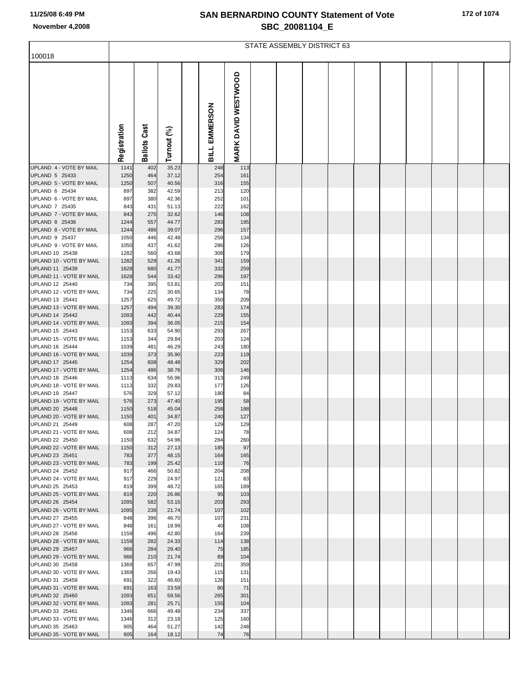| 172 of 1074 |  |
|-------------|--|
|-------------|--|

|                                             | STATE ASSEMBLY DISTRICT 63 |                     |                |  |               |                     |  |  |  |  |  |  |  |  |
|---------------------------------------------|----------------------------|---------------------|----------------|--|---------------|---------------------|--|--|--|--|--|--|--|--|
| 100018                                      |                            |                     |                |  |               |                     |  |  |  |  |  |  |  |  |
|                                             | Registration               | <b>Ballots Cast</b> | Turnout (%)    |  | BILL EMMERSON | MARK DAVID WESTWOOD |  |  |  |  |  |  |  |  |
| UPLAND 4 - VOTE BY MAIL                     | 1141                       | 402                 | 35.23          |  | 248           | 113                 |  |  |  |  |  |  |  |  |
| UPLAND 5 25433                              | 1250                       | 464                 | 37.12          |  | 254           | 161                 |  |  |  |  |  |  |  |  |
| UPLAND 5 - VOTE BY MAIL<br>UPLAND 6 25434   | 1250<br>897                | 507<br>382          | 40.56<br>42.59 |  | 316<br>213    | 155<br>120          |  |  |  |  |  |  |  |  |
| UPLAND 6 - VOTE BY MAIL                     | 897                        | 380                 | 42.36          |  | 252           | 101                 |  |  |  |  |  |  |  |  |
| UPLAND 7 25435                              | 843                        | 431                 | 51.13          |  | 222           | 162                 |  |  |  |  |  |  |  |  |
| UPLAND 7 - VOTE BY MAIL<br>UPLAND 8 25436   | 843<br>1244                | 275<br>557          | 32.62<br>44.77 |  | 146<br>283    | 108<br>195          |  |  |  |  |  |  |  |  |
| UPLAND 8 - VOTE BY MAIL                     | 1244                       | 486                 | 39.07          |  | 296           | 157                 |  |  |  |  |  |  |  |  |
| UPLAND 9 25437                              | 1050                       | 446                 | 42.48          |  | 259           | 134                 |  |  |  |  |  |  |  |  |
| UPLAND 9 - VOTE BY MAIL                     | 1050                       | 437                 | 41.62          |  | 286           | 126                 |  |  |  |  |  |  |  |  |
| UPLAND 10 25438<br>UPLAND 10 - VOTE BY MAIL | 1282<br>1282               | 560<br>529          | 43.68<br>41.26 |  | 308<br>341    | 179<br>159          |  |  |  |  |  |  |  |  |
| UPLAND 11 25439                             | 1628                       | 680                 | 41.77          |  | 332           | 259                 |  |  |  |  |  |  |  |  |
| UPLAND 11 - VOTE BY MAIL                    | 1628                       | 544                 | 33.42          |  | 296           | 197                 |  |  |  |  |  |  |  |  |
| UPLAND 12 25440<br>UPLAND 12 - VOTE BY MAIL | 734<br>734                 | 395<br>225          | 53.81<br>30.65 |  | 203<br>134    | 151<br>78           |  |  |  |  |  |  |  |  |
| UPLAND 13 25441                             | 1257                       | 625                 | 49.72          |  | 350           | 209                 |  |  |  |  |  |  |  |  |
| UPLAND 13 - VOTE BY MAIL                    | 1257                       | 494                 | 39.30          |  | 283           | 174                 |  |  |  |  |  |  |  |  |
| UPLAND 14 25442                             | 1093                       | 442                 | 40.44          |  | 229           | 155                 |  |  |  |  |  |  |  |  |
| UPLAND 14 - VOTE BY MAIL<br>UPLAND 15 25443 | 1093<br>1153               | 394<br>633          | 36.05<br>54.90 |  | 215<br>293    | 154<br>267          |  |  |  |  |  |  |  |  |
| UPLAND 15 - VOTE BY MAIL                    | 1153                       | 344                 | 29.84          |  | 203           | 124                 |  |  |  |  |  |  |  |  |
| UPLAND 16 25444                             | 1039                       | 481                 | 46.29          |  | 243           | 180                 |  |  |  |  |  |  |  |  |
| UPLAND 16 - VOTE BY MAIL                    | 1039                       | 373                 | 35.90          |  | 223           | 119                 |  |  |  |  |  |  |  |  |
| UPLAND 17 25445<br>UPLAND 17 - VOTE BY MAIL | 1254<br>1254               | 608<br>486          | 48.48<br>38.76 |  | 329<br>306    | 202<br>146          |  |  |  |  |  |  |  |  |
| UPLAND 18 25446                             | 1113                       | 634                 | 56.96          |  | 313           | 249                 |  |  |  |  |  |  |  |  |
| UPLAND 18 - VOTE BY MAIL                    | 1113                       | 332                 | 29.83          |  | 177           | 126                 |  |  |  |  |  |  |  |  |
| UPLAND 19 25447<br>UPLAND 19 - VOTE BY MAIL | 576<br>576                 | 329<br>273          | 57.12<br>47.40 |  | 180<br>195    | 84<br>58            |  |  |  |  |  |  |  |  |
| UPLAND 20 25448                             | 1150                       | 518                 | 45.04          |  | 258           | 188                 |  |  |  |  |  |  |  |  |
| UPLAND 20 - VOTE BY MAIL                    | 1150                       | 401                 | 34.87          |  | 240           | 127                 |  |  |  |  |  |  |  |  |
| UPLAND 21 25449<br>UPLAND 21 - VOTE BY MAIL | 608<br>608                 | 287<br>212          | 47.20<br>34.87 |  | 129<br>124    | 129<br>78           |  |  |  |  |  |  |  |  |
| UPLAND 22 25450                             | 1150                       | 632                 | 54.96          |  | 284           | 260                 |  |  |  |  |  |  |  |  |
| UPLAND 22 - VOTE BY MAIL                    | 1150                       | 312                 | 27.13          |  | 185           | 97                  |  |  |  |  |  |  |  |  |
| UPLAND 23 25451                             | 783                        | 377                 | 48.15          |  | 164           | 165                 |  |  |  |  |  |  |  |  |
| UPLAND 23 - VOTE BY MAIL<br>UPLAND 24 25452 | 783<br>917                 | 199<br>466          | 25.42<br>50.82 |  | 110<br>204    | 76<br>208           |  |  |  |  |  |  |  |  |
| UPLAND 24 - VOTE BY MAIL                    | 917                        | 229                 | 24.97          |  | 121           | 83                  |  |  |  |  |  |  |  |  |
| UPLAND 25 25453                             | 819                        | 399                 | 48.72          |  | 165           | 189                 |  |  |  |  |  |  |  |  |
| UPLAND 25 - VOTE BY MAIL<br>UPLAND 26 25454 | 819<br>1095                | 220<br>582          | 26.86<br>53.15 |  | 95<br>203     | 103<br>293          |  |  |  |  |  |  |  |  |
| UPLAND 26 - VOTE BY MAIL                    | 1095                       | 238                 | 21.74          |  | 107           | 102                 |  |  |  |  |  |  |  |  |
| UPLAND 27 25455                             | 848                        | 396                 | 46.70          |  | 107           | 231                 |  |  |  |  |  |  |  |  |
| UPLAND 27 - VOTE BY MAIL<br>UPLAND 28 25456 | 848<br>1159                | 161<br>496          | 18.99<br>42.80 |  | 40<br>164     | 108<br>239          |  |  |  |  |  |  |  |  |
| UPLAND 28 - VOTE BY MAIL                    | 1159                       | 282                 | 24.33          |  | 114           | 138                 |  |  |  |  |  |  |  |  |
| UPLAND 29 25457                             | 966                        | 284                 | 29.40          |  | 75            | 185                 |  |  |  |  |  |  |  |  |
| UPLAND 29 - VOTE BY MAIL                    | 966                        | 210                 | 21.74          |  | 89            | 104                 |  |  |  |  |  |  |  |  |
| UPLAND 30 25458<br>UPLAND 30 - VOTE BY MAIL | 1369<br>1369               | 657<br>266          | 47.99<br>19.43 |  | 201<br>115    | 359<br>131          |  |  |  |  |  |  |  |  |
| UPLAND 31 25459                             | 691                        | 322                 | 46.60          |  | 126           | 151                 |  |  |  |  |  |  |  |  |
| UPLAND 31 - VOTE BY MAIL                    | 691                        | 163                 | 23.59          |  | 80            | 71                  |  |  |  |  |  |  |  |  |
| UPLAND 32 25460                             | 1093                       | 651                 | 59.56          |  | 265           | 301                 |  |  |  |  |  |  |  |  |
| UPLAND 32 - VOTE BY MAIL<br>UPLAND 33 25461 | 1093<br>1346               | 281<br>666          | 25.71<br>49.48 |  | 155<br>234    | 104<br>337          |  |  |  |  |  |  |  |  |
| UPLAND 33 - VOTE BY MAIL                    | 1346                       | 312                 | 23.18          |  | 125           | 160                 |  |  |  |  |  |  |  |  |
| UPLAND 35 25463                             | 905                        | 464                 | 51.27          |  | 142           | 248                 |  |  |  |  |  |  |  |  |
| UPLAND 35 - VOTE BY MAIL                    | 905                        | 164                 | 18.12          |  | 74            | 76                  |  |  |  |  |  |  |  |  |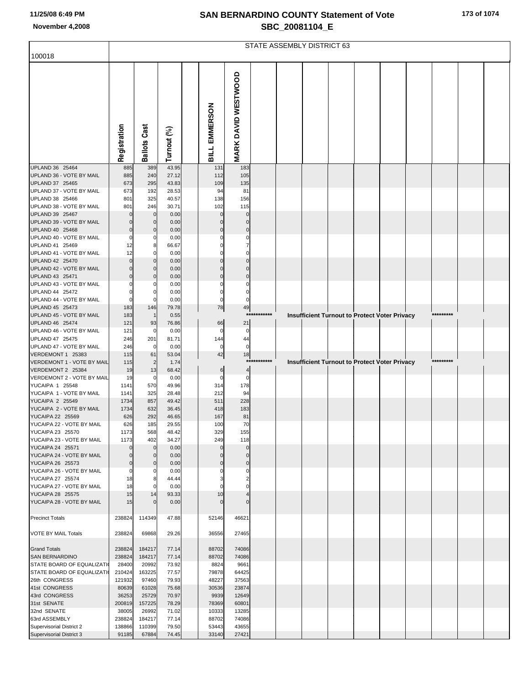| 173 of 1074 |  |
|-------------|--|
|-------------|--|

|                                                    | STATE ASSEMBLY DISTRICT 63 |                     |                |                |                            |             |  |  |  |  |                                                      |  |           |  |
|----------------------------------------------------|----------------------------|---------------------|----------------|----------------|----------------------------|-------------|--|--|--|--|------------------------------------------------------|--|-----------|--|
| 100018                                             |                            |                     |                |                |                            |             |  |  |  |  |                                                      |  |           |  |
|                                                    | Registration               | <b>Ballots Cast</b> | Turnout (%)    | BILL EMMERSON  | MARK DAVID WESTWOOD        |             |  |  |  |  |                                                      |  |           |  |
| UPLAND 36 25464                                    | 885                        | 389                 | 43.95          | 131            | 183                        |             |  |  |  |  |                                                      |  |           |  |
| UPLAND 36 - VOTE BY MAIL                           | 885                        | 240                 | 27.12          | 112            | 105                        |             |  |  |  |  |                                                      |  |           |  |
| UPLAND 37 25465<br>UPLAND 37 - VOTE BY MAIL        | 673<br>673                 | 295<br>192          | 43.83<br>28.53 | 109<br>94      | 135<br>81                  |             |  |  |  |  |                                                      |  |           |  |
| UPLAND 38 25466                                    | 801                        | 325                 | 40.57          | 138            | 156                        |             |  |  |  |  |                                                      |  |           |  |
| UPLAND 38 - VOTE BY MAIL                           | 801                        | 246                 | 30.71          | 102            | 115                        |             |  |  |  |  |                                                      |  |           |  |
| UPLAND 39 25467                                    |                            | $\mathbf 0$         | 0.00           | $\Omega$       | 0                          |             |  |  |  |  |                                                      |  |           |  |
| UPLAND 39 - VOTE BY MAIL<br>UPLAND 40 25468        | $\Omega$<br>$\Omega$       | 0<br>0              | 0.00<br>0.00   | 0<br>$\Omega$  | $\pmb{0}$<br>$\mathbf 0$   |             |  |  |  |  |                                                      |  |           |  |
| UPLAND 40 - VOTE BY MAIL                           | 0                          | 0                   | 0.00           | 0              | 0                          |             |  |  |  |  |                                                      |  |           |  |
| UPLAND 41 25469                                    | 12                         | 8                   | 66.67          |                |                            |             |  |  |  |  |                                                      |  |           |  |
| UPLAND 41 - VOTE BY MAIL                           | 12                         | 0                   | 0.00           |                | $\Omega$                   |             |  |  |  |  |                                                      |  |           |  |
| <b>UPLAND 42 25470</b><br>UPLAND 42 - VOTE BY MAIL | $\Omega$<br>$\Omega$       | O<br>0              | 0.00           | $\Omega$       | $\Omega$                   |             |  |  |  |  |                                                      |  |           |  |
| UPLAND 43 25471                                    | $\Omega$                   | O                   | 0.00<br>0.00   | $\Omega$       | $\mathbf 0$                |             |  |  |  |  |                                                      |  |           |  |
| UPLAND 43 - VOTE BY MAIL                           | O                          | 0                   | 0.00           | 0              | 0                          |             |  |  |  |  |                                                      |  |           |  |
| UPLAND 44 25472                                    | O                          |                     | 0.00           | 0              |                            |             |  |  |  |  |                                                      |  |           |  |
| UPLAND 44 - VOTE BY MAIL                           | $\Omega$                   | $\Omega$            | 0.00           | 0              | 0                          |             |  |  |  |  |                                                      |  |           |  |
| UPLAND 45 25473<br>UPLAND 45 - VOTE BY MAIL        | 183<br>183                 | 146                 | 79.78          | 78             | 49                         | *********** |  |  |  |  |                                                      |  | ********* |  |
| UPLAND 46 25474                                    | 121                        | 93                  | 0.55<br>76.86  | 66             | 21                         |             |  |  |  |  | <b>Insufficient Turnout to Protect Voter Privacy</b> |  |           |  |
| UPLAND 46 - VOTE BY MAIL                           | 121                        | $\mathbf 0$         | 0.00           | 0              | 0                          |             |  |  |  |  |                                                      |  |           |  |
| UPLAND 47 25475                                    | 246                        | 201                 | 81.71          | 144            | 44                         |             |  |  |  |  |                                                      |  |           |  |
| UPLAND 47 - VOTE BY MAIL                           | 246                        | $\mathbf 0$         | 0.00           | 0              | $\mathbf 0$                |             |  |  |  |  |                                                      |  |           |  |
| VERDEMONT 1 25383<br>VERDEMONT 1 - VOTE BY MAIL    | 115<br>115                 | 61                  | 53.04<br>1.74  | 42             | 18                         | *********** |  |  |  |  | Insufficient Turnout to Protect Voter Privacy        |  | ********* |  |
| VERDEMONT 2 25384                                  | 19                         | 13                  | 68.42          | 6              | 4                          |             |  |  |  |  |                                                      |  |           |  |
| VERDEMONT 2 - VOTE BY MAIL                         | 19                         | 0                   | 0.00           | 0              | 0                          |             |  |  |  |  |                                                      |  |           |  |
| YUCAIPA 1 25548                                    | 1141                       | 570                 | 49.96          | 314            | 178                        |             |  |  |  |  |                                                      |  |           |  |
| YUCAIPA 1 - VOTE BY MAIL<br><b>YUCAIPA 2 25549</b> | 1141<br>1734               | 325<br>857          | 28.48<br>49.42 | 212<br>511     | 94<br>228                  |             |  |  |  |  |                                                      |  |           |  |
| YUCAIPA 2 - VOTE BY MAIL                           | 1734                       | 632                 | 36.45          | 418            | 183                        |             |  |  |  |  |                                                      |  |           |  |
| YUCAIPA 22 25569                                   | 626                        | 292                 | 46.65          | 167            | 81                         |             |  |  |  |  |                                                      |  |           |  |
| YUCAIPA 22 - VOTE BY MAIL                          | 626                        | 185                 | 29.55          | 100            | 70                         |             |  |  |  |  |                                                      |  |           |  |
| YUCAIPA 23 25570<br>YUCAIPA 23 - VOTE BY MAIL      | 1173<br>1173               | 568<br>402          | 48.42<br>34.27 | 329<br>249     | 155<br>118                 |             |  |  |  |  |                                                      |  |           |  |
| YUCAIPA 24 25571                                   | $\Omega$                   | $\Omega$            | 0.00           | $\Omega$       | $\mathbf 0$                |             |  |  |  |  |                                                      |  |           |  |
| YUCAIPA 24 - VOTE BY MAIL                          | $\mathbf{0}$               | $\mathbf{0}$        | 0.00           | $\mathbf 0$    | $\pmb{0}$                  |             |  |  |  |  |                                                      |  |           |  |
| YUCAIPA 26 25573                                   | $\mathbf 0$                | 0                   | 0.00           | $\mathbf 0$    | $\pmb{0}$                  |             |  |  |  |  |                                                      |  |           |  |
| YUCAIPA 26 - VOTE BY MAIL                          | 0                          | 0                   | 0.00           | 0              | 0                          |             |  |  |  |  |                                                      |  |           |  |
| YUCAIPA 27 25574<br>YUCAIPA 27 - VOTE BY MAIL      | 18<br>18                   | 8<br>$\Omega$       | 44.44<br>0.00  | $\Omega$       | $\overline{2}$<br>$\Omega$ |             |  |  |  |  |                                                      |  |           |  |
| YUCAIPA 28 25575                                   | 15                         | 14                  | 93.33          | 10             |                            |             |  |  |  |  |                                                      |  |           |  |
| YUCAIPA 28 - VOTE BY MAIL                          | 15                         |                     | 0.00           | $\Omega$       | $\Omega$                   |             |  |  |  |  |                                                      |  |           |  |
| <b>Precinct Totals</b>                             | 238824                     | 114349              | 47.88          | 52146          | 46621                      |             |  |  |  |  |                                                      |  |           |  |
| VOTE BY MAIL Totals                                | 238824                     | 69868               | 29.26          | 36556          | 27465                      |             |  |  |  |  |                                                      |  |           |  |
|                                                    |                            |                     |                |                |                            |             |  |  |  |  |                                                      |  |           |  |
| <b>Grand Totals</b><br><b>SAN BERNARDINO</b>       | 238824<br>238824           | 184217<br>184217    | 77.14<br>77.14 | 88702<br>88702 | 74086<br>74086             |             |  |  |  |  |                                                      |  |           |  |
| STATE BOARD OF EQUALIZATI                          | 28400                      | 20992               | 73.92          | 8824           | 9661                       |             |  |  |  |  |                                                      |  |           |  |
| STATE BOARD OF EQUALIZATION                        | 210424                     | 163225              | 77.57          | 79878          | 64425                      |             |  |  |  |  |                                                      |  |           |  |
| 26th CONGRESS                                      | 121932                     | 97460               | 79.93          | 48227          | 37563                      |             |  |  |  |  |                                                      |  |           |  |
| 41st CONGRESS                                      | 80639                      | 61028               | 75.68          | 30536          | 23874                      |             |  |  |  |  |                                                      |  |           |  |
| 43rd CONGRESS<br>31st SENATE                       | 36253<br>200819            | 25729<br>157225     | 70.97<br>78.29 | 9939<br>78369  | 12649<br>60801             |             |  |  |  |  |                                                      |  |           |  |
| 32nd SENATE                                        | 38005                      | 26992               | 71.02          | 10333          | 13285                      |             |  |  |  |  |                                                      |  |           |  |
| 63rd ASSEMBLY                                      | 238824                     | 184217              | 77.14          | 88702          | 74086                      |             |  |  |  |  |                                                      |  |           |  |
| Supervisorial District 2                           | 138866                     | 110399              | 79.50          | 53443          | 43655                      |             |  |  |  |  |                                                      |  |           |  |
| Supervisorial District 3                           | 91185                      | 67884               | 74.45          | 33140          | 27421                      |             |  |  |  |  |                                                      |  |           |  |